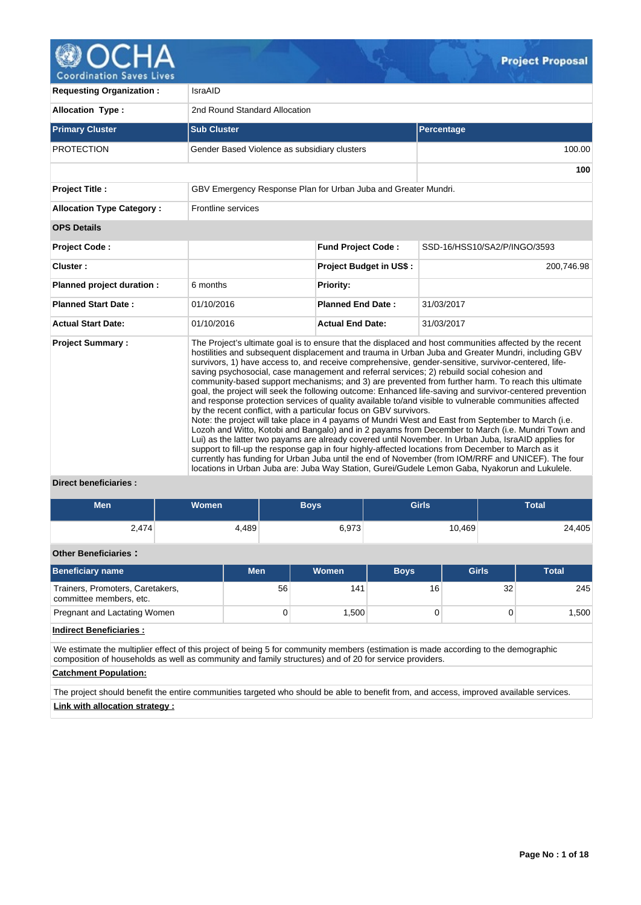

**Coordination Saves Lives** 

| <b>Requesting Organization:</b>  | IsraAID                                                           |                                |                                                                                                                                                                                                                                                                                                                                                                                                                                                                                                                                                                                                                                                                                                                                                                                                                                                                                                                                                                                                                                                                                                                                                                                                                                                                                                                                                                                   |
|----------------------------------|-------------------------------------------------------------------|--------------------------------|-----------------------------------------------------------------------------------------------------------------------------------------------------------------------------------------------------------------------------------------------------------------------------------------------------------------------------------------------------------------------------------------------------------------------------------------------------------------------------------------------------------------------------------------------------------------------------------------------------------------------------------------------------------------------------------------------------------------------------------------------------------------------------------------------------------------------------------------------------------------------------------------------------------------------------------------------------------------------------------------------------------------------------------------------------------------------------------------------------------------------------------------------------------------------------------------------------------------------------------------------------------------------------------------------------------------------------------------------------------------------------------|
| <b>Allocation Type:</b>          | 2nd Round Standard Allocation                                     |                                |                                                                                                                                                                                                                                                                                                                                                                                                                                                                                                                                                                                                                                                                                                                                                                                                                                                                                                                                                                                                                                                                                                                                                                                                                                                                                                                                                                                   |
| <b>Primary Cluster</b>           | <b>Sub Cluster</b>                                                |                                | Percentage                                                                                                                                                                                                                                                                                                                                                                                                                                                                                                                                                                                                                                                                                                                                                                                                                                                                                                                                                                                                                                                                                                                                                                                                                                                                                                                                                                        |
| <b>PROTECTION</b>                | Gender Based Violence as subsidiary clusters                      |                                | 100.00                                                                                                                                                                                                                                                                                                                                                                                                                                                                                                                                                                                                                                                                                                                                                                                                                                                                                                                                                                                                                                                                                                                                                                                                                                                                                                                                                                            |
|                                  |                                                                   |                                | 100                                                                                                                                                                                                                                                                                                                                                                                                                                                                                                                                                                                                                                                                                                                                                                                                                                                                                                                                                                                                                                                                                                                                                                                                                                                                                                                                                                               |
| <b>Project Title:</b>            | GBV Emergency Response Plan for Urban Juba and Greater Mundri.    |                                |                                                                                                                                                                                                                                                                                                                                                                                                                                                                                                                                                                                                                                                                                                                                                                                                                                                                                                                                                                                                                                                                                                                                                                                                                                                                                                                                                                                   |
| <b>Allocation Type Category:</b> | Frontline services                                                |                                |                                                                                                                                                                                                                                                                                                                                                                                                                                                                                                                                                                                                                                                                                                                                                                                                                                                                                                                                                                                                                                                                                                                                                                                                                                                                                                                                                                                   |
| <b>OPS Details</b>               |                                                                   |                                |                                                                                                                                                                                                                                                                                                                                                                                                                                                                                                                                                                                                                                                                                                                                                                                                                                                                                                                                                                                                                                                                                                                                                                                                                                                                                                                                                                                   |
| <b>Project Code:</b>             |                                                                   | <b>Fund Project Code:</b>      | SSD-16/HSS10/SA2/P/INGO/3593                                                                                                                                                                                                                                                                                                                                                                                                                                                                                                                                                                                                                                                                                                                                                                                                                                                                                                                                                                                                                                                                                                                                                                                                                                                                                                                                                      |
| Cluster:                         |                                                                   | <b>Project Budget in US\$:</b> | 200,746.98                                                                                                                                                                                                                                                                                                                                                                                                                                                                                                                                                                                                                                                                                                                                                                                                                                                                                                                                                                                                                                                                                                                                                                                                                                                                                                                                                                        |
| Planned project duration :       | 6 months                                                          | Priority:                      |                                                                                                                                                                                                                                                                                                                                                                                                                                                                                                                                                                                                                                                                                                                                                                                                                                                                                                                                                                                                                                                                                                                                                                                                                                                                                                                                                                                   |
| <b>Planned Start Date:</b>       | 01/10/2016                                                        | <b>Planned End Date:</b>       | 31/03/2017                                                                                                                                                                                                                                                                                                                                                                                                                                                                                                                                                                                                                                                                                                                                                                                                                                                                                                                                                                                                                                                                                                                                                                                                                                                                                                                                                                        |
| <b>Actual Start Date:</b>        | 01/10/2016                                                        | <b>Actual End Date:</b>        | 31/03/2017                                                                                                                                                                                                                                                                                                                                                                                                                                                                                                                                                                                                                                                                                                                                                                                                                                                                                                                                                                                                                                                                                                                                                                                                                                                                                                                                                                        |
| <b>Project Summary:</b>          | by the recent conflict, with a particular focus on GBV survivors. |                                | The Project's ultimate goal is to ensure that the displaced and host communities affected by the recent<br>hostilities and subsequent displacement and trauma in Urban Juba and Greater Mundri, including GBV<br>survivors, 1) have access to, and receive comprehensive, gender-sensitive, survivor-centered, life-<br>saving psychosocial, case management and referral services; 2) rebuild social cohesion and<br>community-based support mechanisms; and 3) are prevented from further harm. To reach this ultimate<br>goal, the project will seek the following outcome: Enhanced life-saving and survivor-centered prevention<br>and response protection services of quality available to/and visible to vulnerable communities affected<br>Note: the project will take place in 4 payams of Mundri West and East from September to March (i.e.<br>Lozoh and Witto, Kotobi and Bangalo) and in 2 payams from December to March (i.e. Mundri Town and<br>Lui) as the latter two payams are already covered until November. In Urban Juba, IsraAID applies for<br>support to fill-up the response gap in four highly-affected locations from December to March as it<br>currently has funding for Urban Juba until the end of November (from IOM/RRF and UNICEF). The four<br>locations in Urban Juba are: Juba Way Station, Gurei/Gudele Lemon Gaba, Nyakorun and Lukulele. |

# **Direct beneficiaries :**

| <b>Men</b> | <b>Women</b> | <b>Boys</b> | Girls  | <b>Total</b> |  |
|------------|--------------|-------------|--------|--------------|--|
| 2,474      | 4,489        | 6,973       | 10,469 | 24,405       |  |

# **Other Beneficiaries :**

| <b>Beneficiary name</b>                                     | <b>Men</b> | Women             | <b>Boys</b>     | <b>Girls</b> | <b>Total</b> |
|-------------------------------------------------------------|------------|-------------------|-----------------|--------------|--------------|
| Trainers, Promoters, Caretakers,<br>committee members, etc. | 56         | 141               | 16 <sub>1</sub> | 32           | 245          |
| Pregnant and Lactating Women                                | O          | .500 <sup>1</sup> |                 |              | 1,500        |

# **Indirect Beneficiaries :**

We estimate the multiplier effect of this project of being 5 for community members (estimation is made according to the demographic composition of households as well as community and family structures) and of 20 for service providers.

# **Catchment Population:**

The project should benefit the entire communities targeted who should be able to benefit from, and access, improved available services. **Link with allocation strategy :**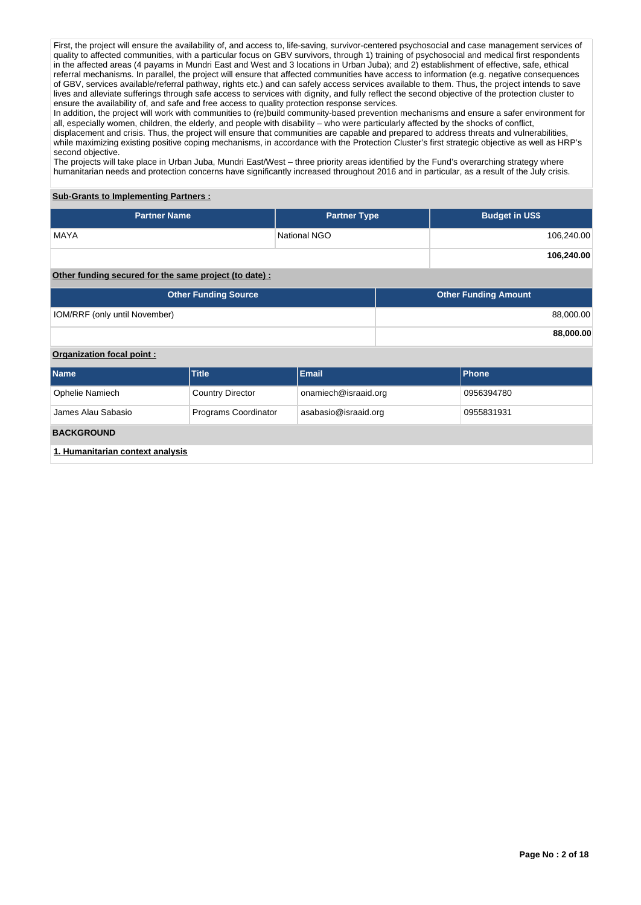First, the project will ensure the availability of, and access to, life-saving, survivor-centered psychosocial and case management services of quality to affected communities, with a particular focus on GBV survivors, through 1) training of psychosocial and medical first respondents in the affected areas (4 payams in Mundri East and West and 3 locations in Urban Juba); and 2) establishment of effective, safe, ethical referral mechanisms. In parallel, the project will ensure that affected communities have access to information (e.g. negative consequences of GBV, services available/referral pathway, rights etc.) and can safely access services available to them. Thus, the project intends to save lives and alleviate sufferings through safe access to services with dignity, and fully reflect the second objective of the protection cluster to ensure the availability of, and safe and free access to quality protection response services.

In addition, the project will work with communities to (re)build community-based prevention mechanisms and ensure a safer environment for all, especially women, children, the elderly, and people with disability – who were particularly affected by the shocks of conflict, displacement and crisis. Thus, the project will ensure that communities are capable and prepared to address threats and vulnerabilities, while maximizing existing positive coping mechanisms, in accordance with the Protection Cluster's first strategic objective as well as HRP's second objective.

The projects will take place in Urban Juba, Mundri East/West – three priority areas identified by the Fund's overarching strategy where humanitarian needs and protection concerns have significantly increased throughout 2016 and in particular, as a result of the July crisis.

# **Sub-Grants to Implementing Partners :**

| <b>Partner Name</b>                                   | <b>Partner Type</b> | <b>Budget in US\$</b> |
|-------------------------------------------------------|---------------------|-----------------------|
| <b>MAYA</b>                                           | National NGO        | 106,240.00            |
|                                                       |                     | 106,240.00            |
| Other funding secured for the same project (to date): |                     |                       |

| <b>Other Funding Source</b>          | <b>Other Funding Amount</b> |
|--------------------------------------|-----------------------------|
| <b>IOM/RRF (only until November)</b> | 88,000.00                   |
|                                      | 88,000.00                   |

## **Organization focal point :**

| <b>Name</b>                      | <b>Title</b>            | Email                | Phone      |  |  |  |  |
|----------------------------------|-------------------------|----------------------|------------|--|--|--|--|
| Ophelie Namiech                  | <b>Country Director</b> | onamiech@israaid.org | 0956394780 |  |  |  |  |
| James Alau Sabasio               | Programs Coordinator    | asabasio@israaid.org | 0955831931 |  |  |  |  |
| <b>BACKGROUND</b>                |                         |                      |            |  |  |  |  |
| 1. Humanitarian context analysis |                         |                      |            |  |  |  |  |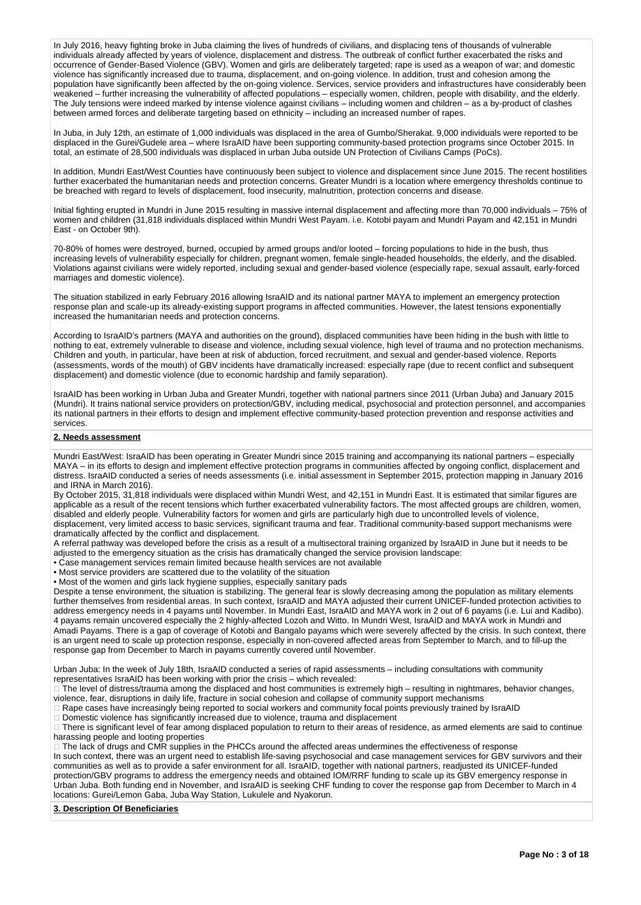In July 2016, heavy fighting broke in Juba claiming the lives of hundreds of civilians, and displacing tens of thousands of vulnerable individuals already affected by years of violence, displacement and distress. The outbreak of conflict further exacerbated the risks and occurrence of Gender-Based Violence (GBV). Women and girls are deliberately targeted; rape is used as a weapon of war; and domestic violence has significantly increased due to trauma, displacement, and on-going violence. In addition, trust and cohesion among the population have significantly been affected by the on-going violence. Services, service providers and infrastructures have considerably been weakened – further increasing the vulnerability of affected populations – especially women, children, people with disability, and the elderly. The July tensions were indeed marked by intense violence against civilians – including women and children – as a by-product of clashes between armed forces and deliberate targeting based on ethnicity – including an increased number of rapes.

In Juba, in July 12th, an estimate of 1,000 individuals was displaced in the area of Gumbo/Sherakat. 9,000 individuals were reported to be displaced in the Gurei/Gudele area – where IsraAID have been supporting community-based protection programs since October 2015. In total, an estimate of 28,500 individuals was displaced in urban Juba outside UN Protection of Civilians Camps (PoCs).

In addition, Mundri East/West Counties have continuously been subject to violence and displacement since June 2015. The recent hostilities further exacerbated the humanitarian needs and protection concerns. Greater Mundri is a location where emergency thresholds continue to be breached with regard to levels of displacement, food insecurity, malnutrition, protection concerns and disease.

Initial fighting erupted in Mundri in June 2015 resulting in massive internal displacement and affecting more than 70,000 individuals – 75% of women and children (31,818 individuals displaced within Mundri West Payam. i.e. Kotobi payam and Mundri Payam and 42,151 in Mundri East - on October 9th).

70-80% of homes were destroyed, burned, occupied by armed groups and/or looted – forcing populations to hide in the bush, thus increasing levels of vulnerability especially for children, pregnant women, female single-headed households, the elderly, and the disabled. Violations against civilians were widely reported, including sexual and gender-based violence (especially rape, sexual assault, early-forced marriages and domestic violence).

The situation stabilized in early February 2016 allowing IsraAID and its national partner MAYA to implement an emergency protection response plan and scale-up its already-existing support programs in affected communities. However, the latest tensions exponentially increased the humanitarian needs and protection concerns.

According to IsraAID's partners (MAYA and authorities on the ground), displaced communities have been hiding in the bush with little to nothing to eat, extremely vulnerable to disease and violence, including sexual violence, high level of trauma and no protection mechanisms. Children and youth, in particular, have been at risk of abduction, forced recruitment, and sexual and gender-based violence. Reports (assessments, words of the mouth) of GBV incidents have dramatically increased: especially rape (due to recent conflict and subsequent displacement) and domestic violence (due to economic hardship and family separation).

IsraAID has been working in Urban Juba and Greater Mundri, together with national partners since 2011 (Urban Juba) and January 2015 (Mundri). It trains national service providers on protection/GBV, including medical, psychosocial and protection personnel, and accompanies its national partners in their efforts to design and implement effective community-based protection prevention and response activities and services.

#### **2. Needs assessment**

Mundri East/West: IsraAID has been operating in Greater Mundri since 2015 training and accompanying its national partners – especially MAYA – in its efforts to design and implement effective protection programs in communities affected by ongoing conflict, displacement and distress. IsraAID conducted a series of needs assessments (i.e. initial assessment in September 2015, protection mapping in January 2016 and IRNA in March 2016).

By October 2015, 31,818 individuals were displaced within Mundri West, and 42,151 in Mundri East. It is estimated that similar figures are applicable as a result of the recent tensions which further exacerbated vulnerability factors. The most affected groups are children, women, disabled and elderly people. Vulnerability factors for women and girls are particularly high due to uncontrolled levels of violence, displacement, very limited access to basic services, significant trauma and fear. Traditional community-based support mechanisms were dramatically affected by the conflict and displacement.

A referral pathway was developed before the crisis as a result of a multisectoral training organized by IsraAID in June but it needs to be adjusted to the emergency situation as the crisis has dramatically changed the service provision landscape:

• Case management services remain limited because health services are not available

• Most service providers are scattered due to the volatility of the situation

• Most of the women and girls lack hygiene supplies, especially sanitary pads

Despite a tense environment, the situation is stabilizing. The general fear is slowly decreasing among the population as military elements further themselves from residential areas. In such context, IsraAID and MAYA adjusted their current UNICEF-funded protection activities to address emergency needs in 4 payams until November. In Mundri East, IsraAID and MAYA work in 2 out of 6 payams (i.e. Lui and Kadibo). 4 payams remain uncovered especially the 2 highly-affected Lozoh and Witto. In Mundri West, IsraAID and MAYA work in Mundri and Amadi Payams. There is a gap of coverage of Kotobi and Bangalo payams which were severely affected by the crisis. In such context, there is an urgent need to scale up protection response, especially in non-covered affected areas from September to March, and to fill-up the response gap from December to March in payams currently covered until November.

Urban Juba: In the week of July 18th, IsraAID conducted a series of rapid assessments – including consultations with community representatives IsraAID has been working with prior the crisis – which revealed:

The level of distress/trauma among the displaced and host communities is extremely high – resulting in nightmares, behavior changes, violence, fear, disruptions in daily life, fracture in social cohesion and collapse of community support mechanisms

Rape cases have increasingly being reported to social workers and community focal points previously trained by IsraAID

Domestic violence has significantly increased due to violence, trauma and displacement

There is significant level of fear among displaced population to return to their areas of residence, as armed elements are said to continue harassing people and looting properties

□ The lack of drugs and CMR supplies in the PHCCs around the affected areas undermines the effectiveness of response

In such context, there was an urgent need to establish life-saving psychosocial and case management services for GBV survivors and their communities as well as to provide a safer environment for all. IsraAID, together with national partners, readjusted its UNICEF-funded protection/GBV programs to address the emergency needs and obtained IOM/RRF funding to scale up its GBV emergency response in Urban Juba. Both funding end in November, and IsraAID is seeking CHF funding to cover the response gap from December to March in 4 locations: Gurei/Lemon Gaba, Juba Way Station, Lukulele and Nyakorun.

#### **3. Description Of Beneficiaries**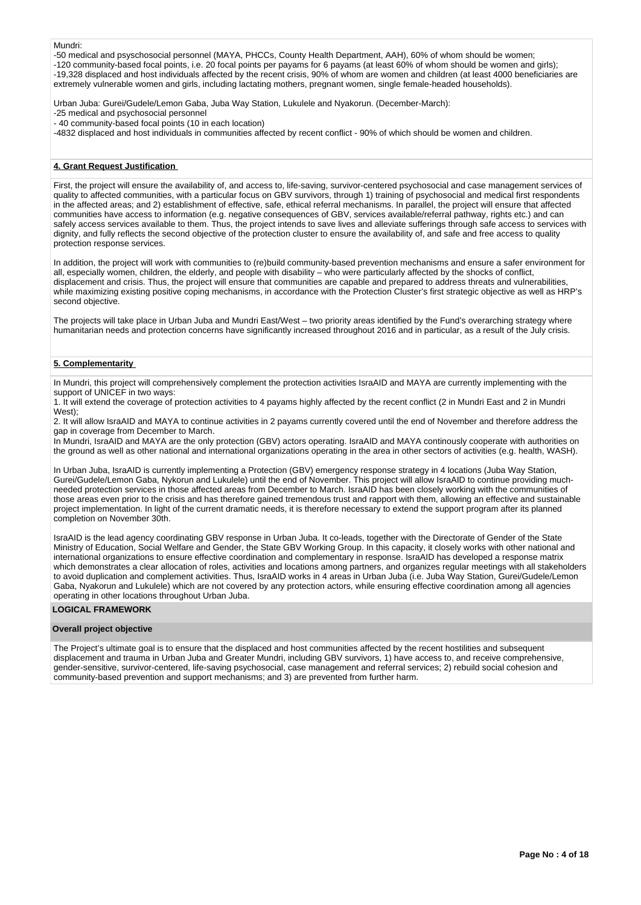#### Mundri:

-50 medical and psyschosocial personnel (MAYA, PHCCs, County Health Department, AAH), 60% of whom should be women; -120 community-based focal points, i.e. 20 focal points per payams for 6 payams (at least 60% of whom should be women and girls); -19,328 displaced and host individuals affected by the recent crisis, 90% of whom are women and children (at least 4000 beneficiaries are extremely vulnerable women and girls, including lactating mothers, pregnant women, single female-headed households).

Urban Juba: Gurei/Gudele/Lemon Gaba, Juba Way Station, Lukulele and Nyakorun. (December-March):

-25 medical and psychosocial personnel

- 40 community-based focal points (10 in each location)

-4832 displaced and host individuals in communities affected by recent conflict - 90% of which should be women and children.

#### **4. Grant Request Justification**

First, the project will ensure the availability of, and access to, life-saving, survivor-centered psychosocial and case management services of quality to affected communities, with a particular focus on GBV survivors, through 1) training of psychosocial and medical first respondents in the affected areas; and 2) establishment of effective, safe, ethical referral mechanisms. In parallel, the project will ensure that affected communities have access to information (e.g. negative consequences of GBV, services available/referral pathway, rights etc.) and can safely access services available to them. Thus, the project intends to save lives and alleviate sufferings through safe access to services with dignity, and fully reflects the second objective of the protection cluster to ensure the availability of, and safe and free access to quality protection response services.

In addition, the project will work with communities to (re)build community-based prevention mechanisms and ensure a safer environment for all, especially women, children, the elderly, and people with disability – who were particularly affected by the shocks of conflict, displacement and crisis. Thus, the project will ensure that communities are capable and prepared to address threats and vulnerabilities, while maximizing existing positive coping mechanisms, in accordance with the Protection Cluster's first strategic objective as well as HRP's second objective.

The projects will take place in Urban Juba and Mundri East/West – two priority areas identified by the Fund's overarching strategy where humanitarian needs and protection concerns have significantly increased throughout 2016 and in particular, as a result of the July crisis.

#### **5. Complementarity**

In Mundri, this project will comprehensively complement the protection activities IsraAID and MAYA are currently implementing with the support of UNICEF in two ways:

1. It will extend the coverage of protection activities to 4 payams highly affected by the recent conflict (2 in Mundri East and 2 in Mundri West);

2. It will allow IsraAID and MAYA to continue activities in 2 payams currently covered until the end of November and therefore address the gap in coverage from December to March.

In Mundri, IsraAID and MAYA are the only protection (GBV) actors operating. IsraAID and MAYA continously cooperate with authorities on the ground as well as other national and international organizations operating in the area in other sectors of activities (e.g. health, WASH).

In Urban Juba, IsraAID is currently implementing a Protection (GBV) emergency response strategy in 4 locations (Juba Way Station, Gurei/Gudele/Lemon Gaba, Nykorun and Lukulele) until the end of November. This project will allow IsraAID to continue providing muchneeded protection services in those affected areas from December to March. IsraAID has been closely working with the communities of those areas even prior to the crisis and has therefore gained tremendous trust and rapport with them, allowing an effective and sustainable project implementation. In light of the current dramatic needs, it is therefore necessary to extend the support program after its planned completion on November 30th.

IsraAID is the lead agency coordinating GBV response in Urban Juba. It co-leads, together with the Directorate of Gender of the State Ministry of Education, Social Welfare and Gender, the State GBV Working Group. In this capacity, it closely works with other national and international organizations to ensure effective coordination and complementary in response. IsraAID has developed a response matrix which demonstrates a clear allocation of roles, activities and locations among partners, and organizes regular meetings with all stakeholders to avoid duplication and complement activities. Thus, IsraAID works in 4 areas in Urban Juba (i.e. Juba Way Station, Gurei/Gudele/Lemon Gaba, Nyakorun and Lukulele) which are not covered by any protection actors, while ensuring effective coordination among all agencies operating in other locations throughout Urban Juba.

# **LOGICAL FRAMEWORK**

#### **Overall project objective**

The Project's ultimate goal is to ensure that the displaced and host communities affected by the recent hostilities and subsequent displacement and trauma in Urban Juba and Greater Mundri, including GBV survivors, 1) have access to, and receive comprehensive, gender-sensitive, survivor-centered, life-saving psychosocial, case management and referral services; 2) rebuild social cohesion and community-based prevention and support mechanisms; and 3) are prevented from further harm.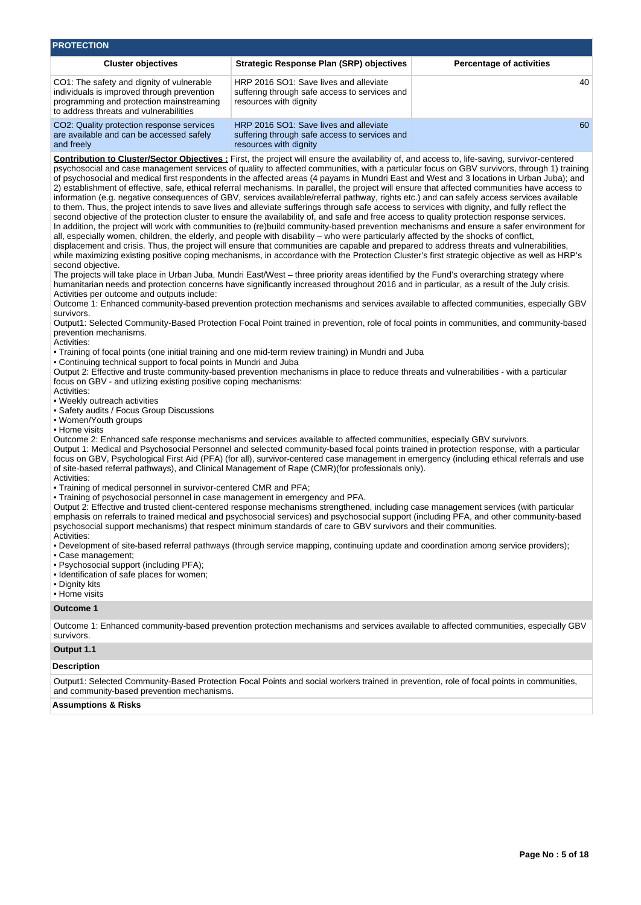| <b>PROTECTION</b>                                                                                                                                                                                                                                                                                                                                                                                                                                                                                                                                                                                                                                                                                                                                                                                                                                                                                                                                                                                                                                                                                                                                                                                                                                                                                                                                                                                                                                                                                                                                                                                                                                                                                                                                                                                                                                                                                                                                                                                                                                                                                                                                                                                                                                                                                                                                                                                                                                                                                                                                                                                                                                                                                                                                                                                                                                                                                                                                                                                                                                                                                                                                                                                                                                                                                                                                                                                                                                                                                                                                                                                                                                                                                                                                                                                                                                                                                                                                                                                                                                                                                                                                     |                                                                                                                                          |                                 |  |  |  |  |  |
|-------------------------------------------------------------------------------------------------------------------------------------------------------------------------------------------------------------------------------------------------------------------------------------------------------------------------------------------------------------------------------------------------------------------------------------------------------------------------------------------------------------------------------------------------------------------------------------------------------------------------------------------------------------------------------------------------------------------------------------------------------------------------------------------------------------------------------------------------------------------------------------------------------------------------------------------------------------------------------------------------------------------------------------------------------------------------------------------------------------------------------------------------------------------------------------------------------------------------------------------------------------------------------------------------------------------------------------------------------------------------------------------------------------------------------------------------------------------------------------------------------------------------------------------------------------------------------------------------------------------------------------------------------------------------------------------------------------------------------------------------------------------------------------------------------------------------------------------------------------------------------------------------------------------------------------------------------------------------------------------------------------------------------------------------------------------------------------------------------------------------------------------------------------------------------------------------------------------------------------------------------------------------------------------------------------------------------------------------------------------------------------------------------------------------------------------------------------------------------------------------------------------------------------------------------------------------------------------------------------------------------------------------------------------------------------------------------------------------------------------------------------------------------------------------------------------------------------------------------------------------------------------------------------------------------------------------------------------------------------------------------------------------------------------------------------------------------------------------------------------------------------------------------------------------------------------------------------------------------------------------------------------------------------------------------------------------------------------------------------------------------------------------------------------------------------------------------------------------------------------------------------------------------------------------------------------------------------------------------------------------------------------------------------------------------------------------------------------------------------------------------------------------------------------------------------------------------------------------------------------------------------------------------------------------------------------------------------------------------------------------------------------------------------------------------------------------------------------------------------------------------------------------------|------------------------------------------------------------------------------------------------------------------------------------------|---------------------------------|--|--|--|--|--|
| <b>Cluster objectives</b>                                                                                                                                                                                                                                                                                                                                                                                                                                                                                                                                                                                                                                                                                                                                                                                                                                                                                                                                                                                                                                                                                                                                                                                                                                                                                                                                                                                                                                                                                                                                                                                                                                                                                                                                                                                                                                                                                                                                                                                                                                                                                                                                                                                                                                                                                                                                                                                                                                                                                                                                                                                                                                                                                                                                                                                                                                                                                                                                                                                                                                                                                                                                                                                                                                                                                                                                                                                                                                                                                                                                                                                                                                                                                                                                                                                                                                                                                                                                                                                                                                                                                                                             | <b>Strategic Response Plan (SRP) objectives</b>                                                                                          | <b>Percentage of activities</b> |  |  |  |  |  |
| CO1: The safety and dignity of vulnerable<br>individuals is improved through prevention<br>programming and protection mainstreaming<br>to address threats and vulnerabilities                                                                                                                                                                                                                                                                                                                                                                                                                                                                                                                                                                                                                                                                                                                                                                                                                                                                                                                                                                                                                                                                                                                                                                                                                                                                                                                                                                                                                                                                                                                                                                                                                                                                                                                                                                                                                                                                                                                                                                                                                                                                                                                                                                                                                                                                                                                                                                                                                                                                                                                                                                                                                                                                                                                                                                                                                                                                                                                                                                                                                                                                                                                                                                                                                                                                                                                                                                                                                                                                                                                                                                                                                                                                                                                                                                                                                                                                                                                                                                         | HRP 2016 SO1: Save lives and alleviate<br>suffering through safe access to services and<br>resources with dignity                        | 40                              |  |  |  |  |  |
| CO2: Quality protection response services<br>are available and can be accessed safely<br>and freely                                                                                                                                                                                                                                                                                                                                                                                                                                                                                                                                                                                                                                                                                                                                                                                                                                                                                                                                                                                                                                                                                                                                                                                                                                                                                                                                                                                                                                                                                                                                                                                                                                                                                                                                                                                                                                                                                                                                                                                                                                                                                                                                                                                                                                                                                                                                                                                                                                                                                                                                                                                                                                                                                                                                                                                                                                                                                                                                                                                                                                                                                                                                                                                                                                                                                                                                                                                                                                                                                                                                                                                                                                                                                                                                                                                                                                                                                                                                                                                                                                                   | HRP 2016 SO1: Save lives and alleviate<br>suffering through safe access to services and<br>resources with dignity                        | 60                              |  |  |  |  |  |
| Contribution to Cluster/Sector Objectives : First, the project will ensure the availability of, and access to, life-saving, survivor-centered<br>psychosocial and case management services of quality to affected communities, with a particular focus on GBV survivors, through 1) training<br>of psychosocial and medical first respondents in the affected areas (4 payams in Mundri East and West and 3 locations in Urban Juba); and<br>2) establishment of effective, safe, ethical referral mechanisms. In parallel, the project will ensure that affected communities have access to<br>information (e.g. negative consequences of GBV, services available/referral pathway, rights etc.) and can safely access services available<br>to them. Thus, the project intends to save lives and alleviate sufferings through safe access to services with dignity, and fully reflect the<br>second objective of the protection cluster to ensure the availability of, and safe and free access to quality protection response services.<br>In addition, the project will work with communities to (re)build community-based prevention mechanisms and ensure a safer environment for<br>all, especially women, children, the elderly, and people with disability - who were particularly affected by the shocks of conflict,<br>displacement and crisis. Thus, the project will ensure that communities are capable and prepared to address threats and vulnerabilities,<br>while maximizing existing positive coping mechanisms, in accordance with the Protection Cluster's first strategic objective as well as HRP's<br>second objective.<br>The projects will take place in Urban Juba, Mundri East/West - three priority areas identified by the Fund's overarching strategy where<br>humanitarian needs and protection concerns have significantly increased throughout 2016 and in particular, as a result of the July crisis.<br>Activities per outcome and outputs include:<br>Outcome 1: Enhanced community-based prevention protection mechanisms and services available to affected communities, especially GBV<br>survivors.<br>Output1: Selected Community-Based Protection Focal Point trained in prevention, role of focal points in communities, and community-based<br>prevention mechanisms.<br>Activities:<br>• Training of focal points (one initial training and one mid-term review training) in Mundri and Juba<br>• Continuing technical support to focal points in Mundri and Juba<br>Output 2: Effective and truste community-based prevention mechanisms in place to reduce threats and vulnerabilities - with a particular<br>focus on GBV - and utilizing existing positive coping mechanisms:<br>Activities:<br>• Weekly outreach activities<br>• Safety audits / Focus Group Discussions<br>• Women/Youth groups<br>• Home visits<br>Outcome 2: Enhanced safe response mechanisms and services available to affected communities, especially GBV survivors.<br>Output 1: Medical and Psychosocial Personnel and selected community-based focal points trained in protection response, with a particular<br>focus on GBV, Psychological First Aid (PFA) (for all), survivor-centered case management in emergency (including ethical referrals and use<br>of site-based referral pathways), and Clinical Management of Rape (CMR)(for professionals only).<br>Activities:<br>• Training of medical personnel in survivor-centered CMR and PFA;<br>. Training of psychosocial personnel in case management in emergency and PFA.<br>Output 2: Effective and trusted client-centered response mechanisms strengthened, including case management services (with particular<br>emphasis on referrals to trained medical and psychosocial services) and psychosocial support (including PFA, and other community-based<br>psychosocial support mechanisms) that respect minimum standards of care to GBV survivors and their communities.<br>Activities:<br>. Development of site-based referral pathways (through service mapping, continuing update and coordination among service providers);<br>• Case management: |                                                                                                                                          |                                 |  |  |  |  |  |
| <b>Outcome 1</b>                                                                                                                                                                                                                                                                                                                                                                                                                                                                                                                                                                                                                                                                                                                                                                                                                                                                                                                                                                                                                                                                                                                                                                                                                                                                                                                                                                                                                                                                                                                                                                                                                                                                                                                                                                                                                                                                                                                                                                                                                                                                                                                                                                                                                                                                                                                                                                                                                                                                                                                                                                                                                                                                                                                                                                                                                                                                                                                                                                                                                                                                                                                                                                                                                                                                                                                                                                                                                                                                                                                                                                                                                                                                                                                                                                                                                                                                                                                                                                                                                                                                                                                                      |                                                                                                                                          |                                 |  |  |  |  |  |
| survivors.                                                                                                                                                                                                                                                                                                                                                                                                                                                                                                                                                                                                                                                                                                                                                                                                                                                                                                                                                                                                                                                                                                                                                                                                                                                                                                                                                                                                                                                                                                                                                                                                                                                                                                                                                                                                                                                                                                                                                                                                                                                                                                                                                                                                                                                                                                                                                                                                                                                                                                                                                                                                                                                                                                                                                                                                                                                                                                                                                                                                                                                                                                                                                                                                                                                                                                                                                                                                                                                                                                                                                                                                                                                                                                                                                                                                                                                                                                                                                                                                                                                                                                                                            | Outcome 1: Enhanced community-based prevention protection mechanisms and services available to affected communities, especially GBV      |                                 |  |  |  |  |  |
| Output 1.1                                                                                                                                                                                                                                                                                                                                                                                                                                                                                                                                                                                                                                                                                                                                                                                                                                                                                                                                                                                                                                                                                                                                                                                                                                                                                                                                                                                                                                                                                                                                                                                                                                                                                                                                                                                                                                                                                                                                                                                                                                                                                                                                                                                                                                                                                                                                                                                                                                                                                                                                                                                                                                                                                                                                                                                                                                                                                                                                                                                                                                                                                                                                                                                                                                                                                                                                                                                                                                                                                                                                                                                                                                                                                                                                                                                                                                                                                                                                                                                                                                                                                                                                            |                                                                                                                                          |                                 |  |  |  |  |  |
| <b>Description</b>                                                                                                                                                                                                                                                                                                                                                                                                                                                                                                                                                                                                                                                                                                                                                                                                                                                                                                                                                                                                                                                                                                                                                                                                                                                                                                                                                                                                                                                                                                                                                                                                                                                                                                                                                                                                                                                                                                                                                                                                                                                                                                                                                                                                                                                                                                                                                                                                                                                                                                                                                                                                                                                                                                                                                                                                                                                                                                                                                                                                                                                                                                                                                                                                                                                                                                                                                                                                                                                                                                                                                                                                                                                                                                                                                                                                                                                                                                                                                                                                                                                                                                                                    |                                                                                                                                          |                                 |  |  |  |  |  |
| and community-based prevention mechanisms.                                                                                                                                                                                                                                                                                                                                                                                                                                                                                                                                                                                                                                                                                                                                                                                                                                                                                                                                                                                                                                                                                                                                                                                                                                                                                                                                                                                                                                                                                                                                                                                                                                                                                                                                                                                                                                                                                                                                                                                                                                                                                                                                                                                                                                                                                                                                                                                                                                                                                                                                                                                                                                                                                                                                                                                                                                                                                                                                                                                                                                                                                                                                                                                                                                                                                                                                                                                                                                                                                                                                                                                                                                                                                                                                                                                                                                                                                                                                                                                                                                                                                                            | Output1: Selected Community-Based Protection Focal Points and social workers trained in prevention, role of focal points in communities, |                                 |  |  |  |  |  |
| <b>Assumptions &amp; Risks</b>                                                                                                                                                                                                                                                                                                                                                                                                                                                                                                                                                                                                                                                                                                                                                                                                                                                                                                                                                                                                                                                                                                                                                                                                                                                                                                                                                                                                                                                                                                                                                                                                                                                                                                                                                                                                                                                                                                                                                                                                                                                                                                                                                                                                                                                                                                                                                                                                                                                                                                                                                                                                                                                                                                                                                                                                                                                                                                                                                                                                                                                                                                                                                                                                                                                                                                                                                                                                                                                                                                                                                                                                                                                                                                                                                                                                                                                                                                                                                                                                                                                                                                                        |                                                                                                                                          |                                 |  |  |  |  |  |
|                                                                                                                                                                                                                                                                                                                                                                                                                                                                                                                                                                                                                                                                                                                                                                                                                                                                                                                                                                                                                                                                                                                                                                                                                                                                                                                                                                                                                                                                                                                                                                                                                                                                                                                                                                                                                                                                                                                                                                                                                                                                                                                                                                                                                                                                                                                                                                                                                                                                                                                                                                                                                                                                                                                                                                                                                                                                                                                                                                                                                                                                                                                                                                                                                                                                                                                                                                                                                                                                                                                                                                                                                                                                                                                                                                                                                                                                                                                                                                                                                                                                                                                                                       |                                                                                                                                          |                                 |  |  |  |  |  |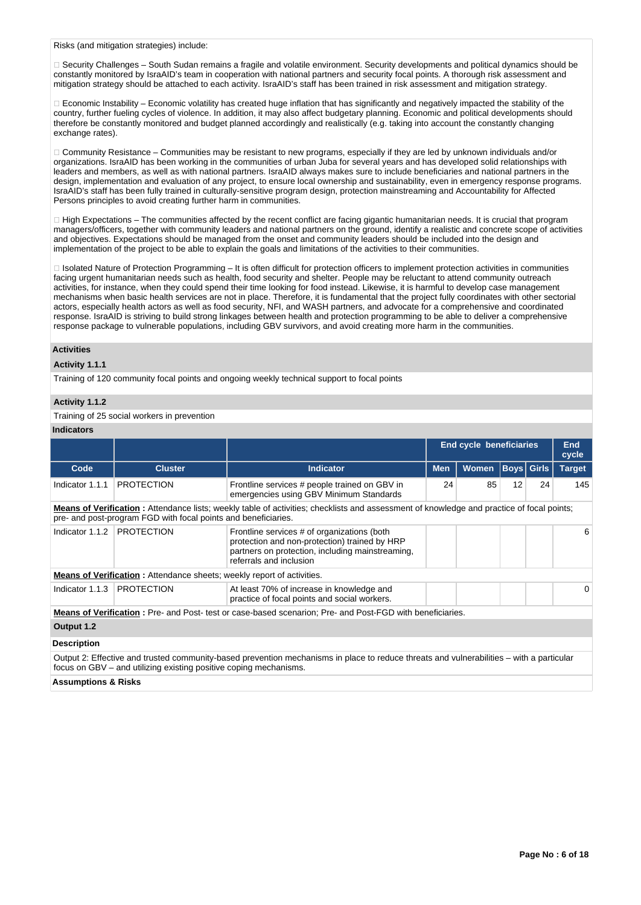Risks (and mitigation strategies) include:

□ Security Challenges – South Sudan remains a fragile and volatile environment. Security developments and political dynamics should be constantly monitored by IsraAID's team in cooperation with national partners and security focal points. A thorough risk assessment and mitigation strategy should be attached to each activity. IsraAID's staff has been trained in risk assessment and mitigation strategy.

 $\Box$  Economic Instability – Economic volatility has created huge inflation that has significantly and negatively impacted the stability of the country, further fueling cycles of violence. In addition, it may also affect budgetary planning. Economic and political developments should therefore be constantly monitored and budget planned accordingly and realistically (e.g. taking into account the constantly changing exchange rates).

Community Resistance – Communities may be resistant to new programs, especially if they are led by unknown individuals and/or organizations. IsraAID has been working in the communities of urban Juba for several years and has developed solid relationships with leaders and members, as well as with national partners. IsraAID always makes sure to include beneficiaries and national partners in the design, implementation and evaluation of any project, to ensure local ownership and sustainability, even in emergency response programs. IsraAID's staff has been fully trained in culturally-sensitive program design, protection mainstreaming and Accountability for Affected Persons principles to avoid creating further harm in communities.

 $\Box$  High Expectations – The communities affected by the recent conflict are facing gigantic humanitarian needs. It is crucial that program managers/officers, together with community leaders and national partners on the ground, identify a realistic and concrete scope of activities and objectives. Expectations should be managed from the onset and community leaders should be included into the design and implementation of the project to be able to explain the goals and limitations of the activities to their communities.

□ Isolated Nature of Protection Programming – It is often difficult for protection officers to implement protection activities in communities facing urgent humanitarian needs such as health, food security and shelter. People may be reluctant to attend community outreach activities, for instance, when they could spend their time looking for food instead. Likewise, it is harmful to develop case management mechanisms when basic health services are not in place. Therefore, it is fundamental that the project fully coordinates with other sectorial actors, especially health actors as well as food security, NFI, and WASH partners, and advocate for a comprehensive and coordinated response. IsraAID is striving to build strong linkages between health and protection programming to be able to deliver a comprehensive response package to vulnerable populations, including GBV survivors, and avoid creating more harm in the communities.

#### **Activities**

#### **Activity 1.1.1**

Training of 120 community focal points and ongoing weekly technical support to focal points

# **Activity 1.1.2**

Training of 25 social workers in prevention

#### **Indicators**

|                    |                                                                               |                                                                                                                                                                             | <b>End cycle beneficiaries</b> |              |    | <b>End</b><br>cycle |               |
|--------------------|-------------------------------------------------------------------------------|-----------------------------------------------------------------------------------------------------------------------------------------------------------------------------|--------------------------------|--------------|----|---------------------|---------------|
| Code               | <b>Cluster</b>                                                                | <b>Indicator</b>                                                                                                                                                            | <b>Men</b>                     | <b>Women</b> |    | <b>Boys</b> Girls   | <b>Target</b> |
| Indicator 1.1.1    | <b>PROTECTION</b>                                                             | Frontline services # people trained on GBV in<br>emergencies using GBV Minimum Standards                                                                                    | 24                             | 85           | 12 | 24                  | 145           |
|                    | pre- and post-program FGD with focal points and beneficiaries.                | Means of Verification: Attendance lists; weekly table of activities; checklists and assessment of knowledge and practice of focal points;                                   |                                |              |    |                     |               |
| Indicator 1.1.2    | <b>PROTECTION</b>                                                             | Frontline services # of organizations (both<br>protection and non-protection) trained by HRP<br>partners on protection, including mainstreaming,<br>referrals and inclusion |                                |              |    |                     | 6             |
|                    | <b>Means of Verification:</b> Attendance sheets; weekly report of activities. |                                                                                                                                                                             |                                |              |    |                     |               |
| Indicator 1.1.3    | <b>PROTECTION</b>                                                             | At least 70% of increase in knowledge and<br>practice of focal points and social workers.                                                                                   |                                |              |    |                     | 0             |
|                    |                                                                               | <b>Means of Verification:</b> Pre- and Post-test or case-based scenarion; Pre- and Post-FGD with beneficiaries.                                                             |                                |              |    |                     |               |
| Output 1.2         |                                                                               |                                                                                                                                                                             |                                |              |    |                     |               |
| <b>Description</b> |                                                                               |                                                                                                                                                                             |                                |              |    |                     |               |
|                    | focus on GBV – and utilizing existing positive coping mechanisms.             | Output 2: Effective and trusted community-based prevention mechanisms in place to reduce threats and vulnerabilities - with a particular                                    |                                |              |    |                     |               |

**Assumptions & Risks**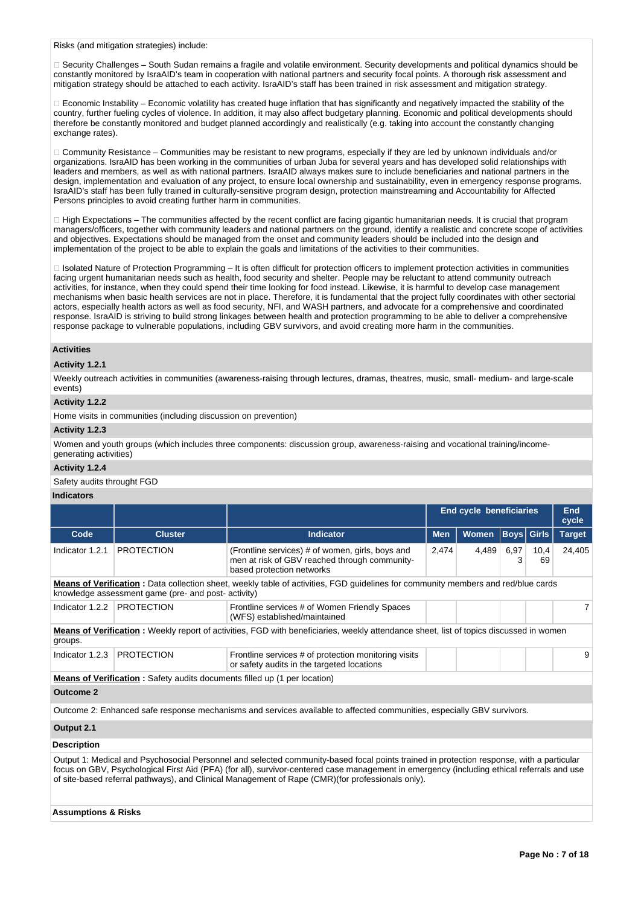Risks (and mitigation strategies) include:

□ Security Challenges – South Sudan remains a fragile and volatile environment. Security developments and political dynamics should be constantly monitored by IsraAID's team in cooperation with national partners and security focal points. A thorough risk assessment and mitigation strategy should be attached to each activity. IsraAID's staff has been trained in risk assessment and mitigation strategy.

 $\Box$  Economic Instability – Economic volatility has created huge inflation that has significantly and negatively impacted the stability of the country, further fueling cycles of violence. In addition, it may also affect budgetary planning. Economic and political developments should therefore be constantly monitored and budget planned accordingly and realistically (e.g. taking into account the constantly changing exchange rates).

Community Resistance – Communities may be resistant to new programs, especially if they are led by unknown individuals and/or organizations. IsraAID has been working in the communities of urban Juba for several years and has developed solid relationships with leaders and members, as well as with national partners. IsraAID always makes sure to include beneficiaries and national partners in the design, implementation and evaluation of any project, to ensure local ownership and sustainability, even in emergency response programs. IsraAID's staff has been fully trained in culturally-sensitive program design, protection mainstreaming and Accountability for Affected Persons principles to avoid creating further harm in communities.

 $\Box$  High Expectations – The communities affected by the recent conflict are facing gigantic humanitarian needs. It is crucial that program managers/officers, together with community leaders and national partners on the ground, identify a realistic and concrete scope of activities and objectives. Expectations should be managed from the onset and community leaders should be included into the design and implementation of the project to be able to explain the goals and limitations of the activities to their communities.

□ Isolated Nature of Protection Programming – It is often difficult for protection officers to implement protection activities in communities facing urgent humanitarian needs such as health, food security and shelter. People may be reluctant to attend community outreach activities, for instance, when they could spend their time looking for food instead. Likewise, it is harmful to develop case management mechanisms when basic health services are not in place. Therefore, it is fundamental that the project fully coordinates with other sectorial actors, especially health actors as well as food security, NFI, and WASH partners, and advocate for a comprehensive and coordinated response. IsraAID is striving to build strong linkages between health and protection programming to be able to deliver a comprehensive response package to vulnerable populations, including GBV survivors, and avoid creating more harm in the communities.

#### **Activities**

#### **Activity 1.2.1**

Weekly outreach activities in communities (awareness-raising through lectures, dramas, theatres, music, small- medium- and large-scale events)

#### **Activity 1.2.2**

Home visits in communities (including discussion on prevention)

#### **Activity 1.2.3**

Women and youth groups (which includes three components: discussion group, awareness-raising and vocational training/incomegenerating activities)

#### **Activity 1.2.4**

Safety audits throught FGD

### **Indicators**

|                                                                                                                        |                                                     |                                                                                                                                                | <b>End cycle beneficiaries</b> |              |                   | End<br>cycle |               |
|------------------------------------------------------------------------------------------------------------------------|-----------------------------------------------------|------------------------------------------------------------------------------------------------------------------------------------------------|--------------------------------|--------------|-------------------|--------------|---------------|
| Code                                                                                                                   | <b>Cluster</b>                                      | <b>Indicator</b>                                                                                                                               | <b>Men</b>                     | <b>Women</b> | <b>Boys</b> Girls |              | <b>Target</b> |
| Indicator 1.2.1                                                                                                        | <b>PROTECTION</b>                                   | (Frontline services) # of women, girls, boys and<br>men at risk of GBV reached through community-<br>based protection networks                 | 2,474                          | 4,489        | 6,97<br>3         | 10,4<br>69   | 24,405        |
|                                                                                                                        | knowledge assessment game (pre- and post- activity) | <b>Means of Verification</b> : Data collection sheet, weekly table of activities, FGD guidelines for community members and red/blue cards      |                                |              |                   |              |               |
| Indicator 1.2.2                                                                                                        | <b>PROTECTION</b>                                   | Frontline services # of Women Friendly Spaces<br>(WFS) established/maintained                                                                  |                                |              |                   |              |               |
| groups.                                                                                                                |                                                     | <b>Means of Verification</b> : Weekly report of activities, FGD with beneficiaries, weekly attendance sheet, list of topics discussed in women |                                |              |                   |              |               |
| Indicator 1.2.3                                                                                                        | <b>PROTECTION</b>                                   | Frontline services # of protection monitoring visits<br>or safety audits in the targeted locations                                             |                                |              |                   |              | 9             |
| <b>Means of Verification</b> : Safety audits documents filled up (1 per location)                                      |                                                     |                                                                                                                                                |                                |              |                   |              |               |
| <b>Outcome 2</b>                                                                                                       |                                                     |                                                                                                                                                |                                |              |                   |              |               |
| Outcome 2: Enhanced safe response mechanisms and services available to affected communities, especially GBV survivors. |                                                     |                                                                                                                                                |                                |              |                   |              |               |
| Output 2.1                                                                                                             |                                                     |                                                                                                                                                |                                |              |                   |              |               |

### **Description**

Output 1: Medical and Psychosocial Personnel and selected community-based focal points trained in protection response, with a particular focus on GBV, Psychological First Aid (PFA) (for all), survivor-centered case management in emergency (including ethical referrals and use of site-based referral pathways), and Clinical Management of Rape (CMR)(for professionals only).

#### **Assumptions & Risks**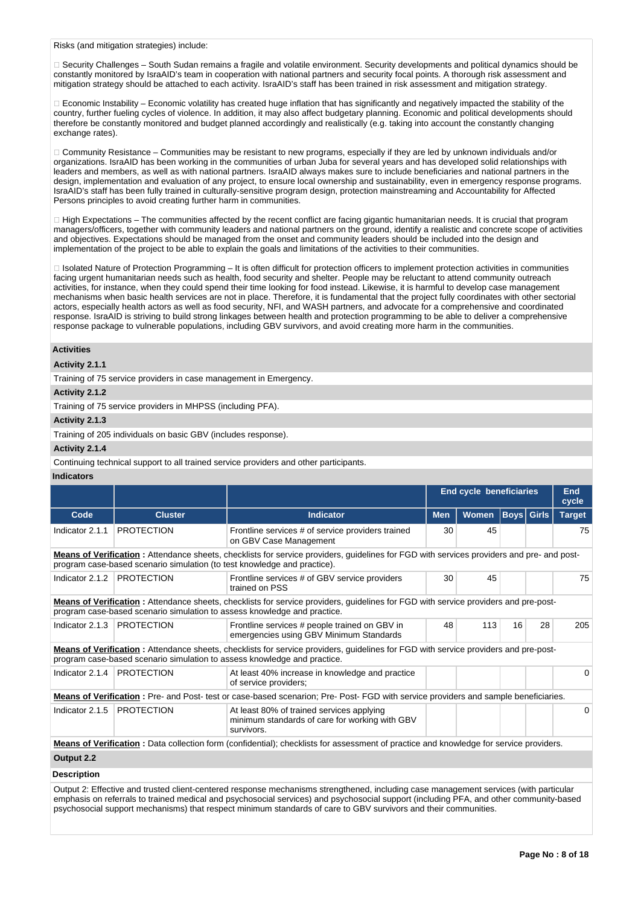Risks (and mitigation strategies) include:

□ Security Challenges – South Sudan remains a fragile and volatile environment. Security developments and political dynamics should be constantly monitored by IsraAID's team in cooperation with national partners and security focal points. A thorough risk assessment and mitigation strategy should be attached to each activity. IsraAID's staff has been trained in risk assessment and mitigation strategy.

 $\Box$  Economic Instability – Economic volatility has created huge inflation that has significantly and negatively impacted the stability of the country, further fueling cycles of violence. In addition, it may also affect budgetary planning. Economic and political developments should therefore be constantly monitored and budget planned accordingly and realistically (e.g. taking into account the constantly changing exchange rates).

Community Resistance – Communities may be resistant to new programs, especially if they are led by unknown individuals and/or organizations. IsraAID has been working in the communities of urban Juba for several years and has developed solid relationships with leaders and members, as well as with national partners. IsraAID always makes sure to include beneficiaries and national partners in the design, implementation and evaluation of any project, to ensure local ownership and sustainability, even in emergency response programs. IsraAID's staff has been fully trained in culturally-sensitive program design, protection mainstreaming and Accountability for Affected Persons principles to avoid creating further harm in communities.

 $\Box$  High Expectations – The communities affected by the recent conflict are facing gigantic humanitarian needs. It is crucial that program managers/officers, together with community leaders and national partners on the ground, identify a realistic and concrete scope of activities and objectives. Expectations should be managed from the onset and community leaders should be included into the design and implementation of the project to be able to explain the goals and limitations of the activities to their communities.

□ Isolated Nature of Protection Programming – It is often difficult for protection officers to implement protection activities in communities facing urgent humanitarian needs such as health, food security and shelter. People may be reluctant to attend community outreach activities, for instance, when they could spend their time looking for food instead. Likewise, it is harmful to develop case management mechanisms when basic health services are not in place. Therefore, it is fundamental that the project fully coordinates with other sectorial actors, especially health actors as well as food security, NFI, and WASH partners, and advocate for a comprehensive and coordinated response. IsraAID is striving to build strong linkages between health and protection programming to be able to deliver a comprehensive response package to vulnerable populations, including GBV survivors, and avoid creating more harm in the communities.

#### **Activities**

#### **Activity 2.1.1**

Training of 75 service providers in case management in Emergency.

#### **Activity 2.1.2**

Training of 75 service providers in MHPSS (including PFA).

#### **Activity 2.1.3**

Training of 205 individuals on basic GBV (includes response).

#### **Activity 2.1.4**

Continuing technical support to all trained service providers and other participants.

## **Indicators**

|                              |                                                                          |                                                                                                                                                                                                                 | <b>End cycle beneficiaries</b> |              |    | <b>End</b><br>cycle |               |
|------------------------------|--------------------------------------------------------------------------|-----------------------------------------------------------------------------------------------------------------------------------------------------------------------------------------------------------------|--------------------------------|--------------|----|---------------------|---------------|
| Code                         | <b>Cluster</b>                                                           | <b>Indicator</b>                                                                                                                                                                                                | <b>Men</b>                     | <b>Women</b> |    | <b>Boys Girls</b>   | <b>Target</b> |
| Indicator 2.1.1              | <b>PROTECTION</b>                                                        | Frontline services # of service providers trained<br>on GBV Case Management                                                                                                                                     | 30                             | 45           |    |                     | 75            |
|                              | program case-based scenario simulation (to test knowledge and practice). | Means of Verification: Attendance sheets, checklists for service providers, guidelines for FGD with services providers and pre- and post-                                                                       |                                |              |    |                     |               |
| Indicator 2.1.2              | <b>PROTECTION</b>                                                        | Frontline services # of GBV service providers<br>trained on PSS                                                                                                                                                 | 30                             | 45           |    |                     | 75            |
|                              |                                                                          | Means of Verification: Attendance sheets, checklists for service providers, guidelines for FGD with service providers and pre-post-<br>program case-based scenario simulation to assess knowledge and practice. |                                |              |    |                     |               |
| Indicator 2.1.3              | <b>PROTECTION</b>                                                        | Frontline services # people trained on GBV in<br>emergencies using GBV Minimum Standards                                                                                                                        | 48                             | 113          | 16 | 28                  | 205           |
|                              |                                                                          | Means of Verification: Attendance sheets, checklists for service providers, guidelines for FGD with service providers and pre-post-<br>program case-based scenario simulation to assess knowledge and practice. |                                |              |    |                     |               |
| Indicator 2.1.4   PROTECTION |                                                                          | At least 40% increase in knowledge and practice<br>of service providers;                                                                                                                                        |                                |              |    |                     | 0             |
|                              |                                                                          | Means of Verification: Pre- and Post- test or case-based scenarion; Pre- Post- FGD with service providers and sample beneficiaries.                                                                             |                                |              |    |                     |               |
| Indicator 2.1.5              | <b>PROTECTION</b>                                                        | At least 80% of trained services applying<br>minimum standards of care for working with GBV<br>survivors.                                                                                                       |                                |              |    |                     | 0             |
|                              |                                                                          | <b>Means of Verification</b> : Data collection form (confidential); checklists for assessment of practice and knowledge for service providers.                                                                  |                                |              |    |                     |               |
| Output 2.2                   |                                                                          |                                                                                                                                                                                                                 |                                |              |    |                     |               |
| <b>Description</b>           |                                                                          |                                                                                                                                                                                                                 |                                |              |    |                     |               |

Output 2: Effective and trusted client-centered response mechanisms strengthened, including case management services (with particular emphasis on referrals to trained medical and psychosocial services) and psychosocial support (including PFA, and other community-based psychosocial support mechanisms) that respect minimum standards of care to GBV survivors and their communities.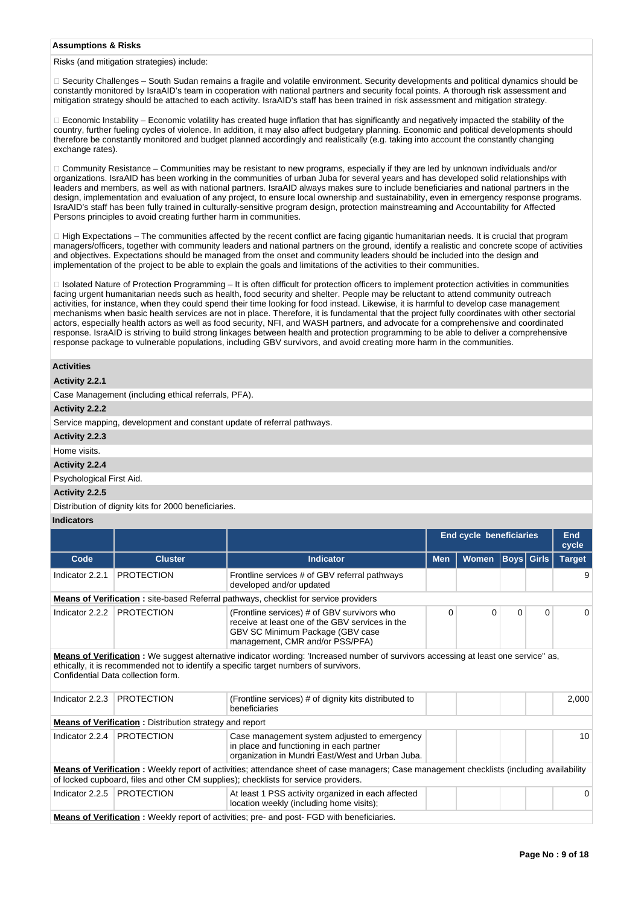## **Assumptions & Risks**

Risks (and mitigation strategies) include:

□ Security Challenges – South Sudan remains a fragile and volatile environment. Security developments and political dynamics should be constantly monitored by IsraAID's team in cooperation with national partners and security focal points. A thorough risk assessment and mitigation strategy should be attached to each activity. IsraAID's staff has been trained in risk assessment and mitigation strategy.

 $\Box$  Economic Instability – Economic volatility has created huge inflation that has significantly and negatively impacted the stability of the country, further fueling cycles of violence. In addition, it may also affect budgetary planning. Economic and political developments should therefore be constantly monitored and budget planned accordingly and realistically (e.g. taking into account the constantly changing exchange rates).

Community Resistance – Communities may be resistant to new programs, especially if they are led by unknown individuals and/or organizations. IsraAID has been working in the communities of urban Juba for several years and has developed solid relationships with leaders and members, as well as with national partners. IsraAID always makes sure to include beneficiaries and national partners in the design, implementation and evaluation of any project, to ensure local ownership and sustainability, even in emergency response programs. IsraAID's staff has been fully trained in culturally-sensitive program design, protection mainstreaming and Accountability for Affected Persons principles to avoid creating further harm in communities.

 $\Box$  High Expectations – The communities affected by the recent conflict are facing gigantic humanitarian needs. It is crucial that program managers/officers, together with community leaders and national partners on the ground, identify a realistic and concrete scope of activities and objectives. Expectations should be managed from the onset and community leaders should be included into the design and implementation of the project to be able to explain the goals and limitations of the activities to their communities.

Isolated Nature of Protection Programming – It is often difficult for protection officers to implement protection activities in communities facing urgent humanitarian needs such as health, food security and shelter. People may be reluctant to attend community outreach activities, for instance, when they could spend their time looking for food instead. Likewise, it is harmful to develop case management mechanisms when basic health services are not in place. Therefore, it is fundamental that the project fully coordinates with other sectorial actors, especially health actors as well as food security, NFI, and WASH partners, and advocate for a comprehensive and coordinated response. IsraAID is striving to build strong linkages between health and protection programming to be able to deliver a comprehensive response package to vulnerable populations, including GBV survivors, and avoid creating more harm in the communities.

# **Activities**

# **Activity 2.2.1**

Case Management (including ethical referrals, PFA).

# **Activity 2.2.2**

Service mapping, development and constant update of referral pathways.

## **Activity 2.2.3**

# Home visits. **Activity 2.2.4**

Psychological First Aid.

# **Activity 2.2.5**

Distribution of dignity kits for 2000 beneficiaries.

## **Indicators**

|                 |                                                                |                                                                                                                                                                                                                                  | <b>End cycle beneficiaries</b> |              |                   | <b>End</b><br>cycle |               |
|-----------------|----------------------------------------------------------------|----------------------------------------------------------------------------------------------------------------------------------------------------------------------------------------------------------------------------------|--------------------------------|--------------|-------------------|---------------------|---------------|
| Code            | <b>Cluster</b>                                                 | <b>Indicator</b>                                                                                                                                                                                                                 | <b>Men</b>                     | <b>Women</b> | <b>Boys Girls</b> |                     | <b>Target</b> |
| Indicator 2.2.1 | <b>PROTECTION</b>                                              | Frontline services # of GBV referral pathways<br>developed and/or updated                                                                                                                                                        |                                |              |                   |                     | 9             |
|                 |                                                                | <b>Means of Verification:</b> site-based Referral pathways, checklist for service providers                                                                                                                                      |                                |              |                   |                     |               |
| Indicator 2.2.2 | <b>PROTECTION</b>                                              | (Frontline services) # of GBV survivors who<br>receive at least one of the GBV services in the<br>GBV SC Minimum Package (GBV case<br>management, CMR and/or PSS/PFA)                                                            | $\Omega$                       | $\Omega$     | $\Omega$          | $\Omega$            | $\Omega$      |
|                 | Confidential Data collection form.                             | Means of Verification: We suggest alternative indicator wording: 'Increased number of survivors accessing at least one service" as,<br>ethically, it is recommended not to identify a specific target numbers of survivors.      |                                |              |                   |                     |               |
| Indicator 2.2.3 | <b>PROTECTION</b>                                              | (Frontline services) # of dignity kits distributed to<br>beneficiaries                                                                                                                                                           |                                |              |                   |                     | 2,000         |
|                 | <b>Means of Verification:</b> Distribution strategy and report |                                                                                                                                                                                                                                  |                                |              |                   |                     |               |
| Indicator 2.2.4 | <b>PROTECTION</b>                                              | Case management system adjusted to emergency<br>in place and functioning in each partner<br>organization in Mundri East/West and Urban Juba.                                                                                     |                                |              |                   |                     | 10            |
|                 |                                                                | Means of Verification: Weekly report of activities; attendance sheet of case managers; Case management checklists (including availability<br>of locked cupboard, files and other CM supplies); checklists for service providers. |                                |              |                   |                     |               |
| Indicator 2.2.5 | <b>PROTECTION</b>                                              | At least 1 PSS activity organized in each affected<br>location weekly (including home visits):                                                                                                                                   |                                |              |                   |                     | 0             |
|                 |                                                                | <b>Means of Verification</b> : Weekly report of activities; pre- and post- FGD with beneficiaries.                                                                                                                               |                                |              |                   |                     |               |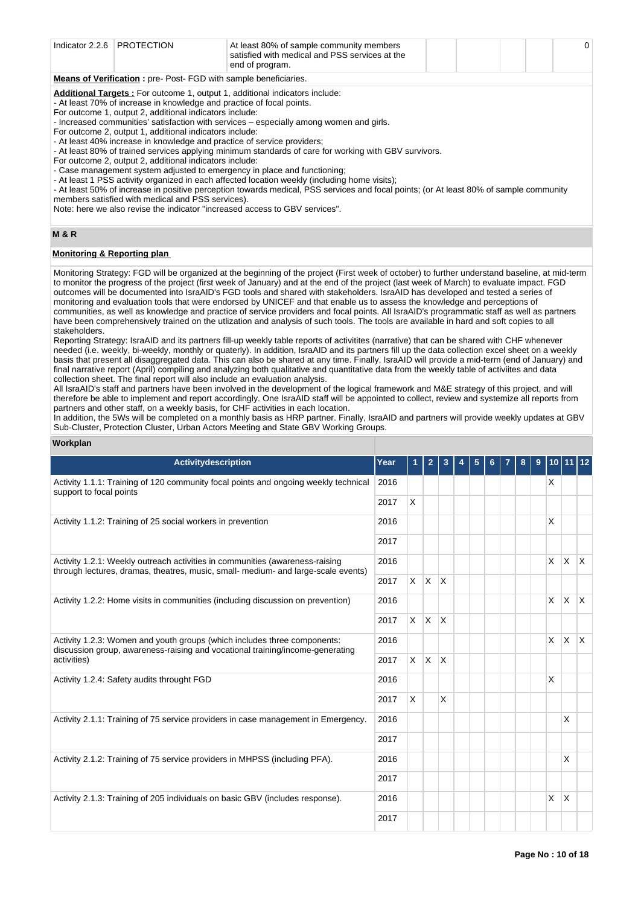| Indicator 2.2.6   PROTECTION                                                       |  | At least 80% of sample community members<br>satisfied with medical and PSS services at the<br>end of program. |  |  |  |  |  |  |
|------------------------------------------------------------------------------------|--|---------------------------------------------------------------------------------------------------------------|--|--|--|--|--|--|
| <b>Means of Verification:</b> pre-Post-FGD with sample beneficiaries.              |  |                                                                                                               |  |  |  |  |  |  |
| <b>Additional Targets:</b> For outcome 1, output 1, additional indicators include: |  |                                                                                                               |  |  |  |  |  |  |

- At least 70% of increase in knowledge and practice of focal points.

For outcome 1, output 2, additional indicators include:

- Increased communities' satisfaction with services – especially among women and girls.

For outcome 2, output 1, additional indicators include:

- At least 40% increase in knowledge and practice of service providers;

- At least 80% of trained services applying minimum standards of care for working with GBV survivors.

For outcome 2, output 2, additional indicators include:

- Case management system adjusted to emergency in place and functioning;

- At least 1 PSS activity organized in each affected location weekly (including home visits);

- At least 50% of increase in positive perception towards medical, PSS services and focal points; (or At least 80% of sample community members satisfied with medical and PSS services).

Note: here we also revise the indicator "increased access to GBV services".

# **M & R**

# **Monitoring & Reporting plan**

Monitoring Strategy: FGD will be organized at the beginning of the project (First week of october) to further understand baseline, at mid-term to monitor the progress of the project (first week of January) and at the end of the project (last week of March) to evaluate impact. FGD outcomes will be documented into IsraAID's FGD tools and shared with stakeholders. IsraAID has developed and tested a series of monitoring and evaluation tools that were endorsed by UNICEF and that enable us to assess the knowledge and perceptions of communities, as well as knowledge and practice of service providers and focal points. All IsraAID's programmatic staff as well as partners have been comprehensively trained on the utlization and analysis of such tools. The tools are available in hard and soft copies to all stakeholders.

Reporting Strategy: IsraAID and its partners fill-up weekly table reports of activitites (narrative) that can be shared with CHF whenever needed (i.e. weekly, bi-weekly, monthly or quaterly). In addition, IsraAID and its partners fill up the data collection excel sheet on a weekly basis that present all disaggregated data. This can also be shared at any time. Finally, IsraAID will provide a mid-term (end of January) and final narrative report (April) compiling and analyzing both qualitative and quantitative data from the weekly table of activiites and data collection sheet. The final report will also include an evaluation analysis.

All IsraAID's staff and partners have been involved in the development of the logical framework and M&E strategy of this project, and will therefore be able to implement and report accordingly. One IsraAID staff will be appointed to collect, review and systemize all reports from partners and other staff, on a weekly basis, for CHF activities in each location.

In addition, the 5Ws will be completed on a monthly basis as HRP partner. Finally, IsraAID and partners will provide weekly updates at GBV Sub-Cluster, Protection Cluster, Urban Actors Meeting and State GBV Working Groups.

# **Workplan**

| <b>Activitydescription</b>                                                                                                                                        | Year | $\mathbf{1}$ | $\overline{2}$ | 3            | 5 | 6 | 7 | 8 | 9 | 10 <sub>1</sub> |              | $ 12\rangle$ |
|-------------------------------------------------------------------------------------------------------------------------------------------------------------------|------|--------------|----------------|--------------|---|---|---|---|---|-----------------|--------------|--------------|
| Activity 1.1.1: Training of 120 community focal points and ongoing weekly technical<br>support to focal points                                                    | 2016 |              |                |              |   |   |   |   |   | X               |              |              |
|                                                                                                                                                                   | 2017 | X            |                |              |   |   |   |   |   |                 |              |              |
| Activity 1.1.2: Training of 25 social workers in prevention                                                                                                       | 2016 |              |                |              |   |   |   |   |   | X               |              |              |
|                                                                                                                                                                   | 2017 |              |                |              |   |   |   |   |   |                 |              |              |
| Activity 1.2.1: Weekly outreach activities in communities (awareness-raising<br>through lectures, dramas, theatres, music, small- medium- and large-scale events) | 2016 |              |                |              |   |   |   |   |   | $\mathsf{X}$    | Ιx.          | $\mathsf{X}$ |
|                                                                                                                                                                   |      |              | $X$ $X$        | ΙX.          |   |   |   |   |   |                 |              |              |
| Activity 1.2.2: Home visits in communities (including discussion on prevention)                                                                                   | 2016 |              |                |              |   |   |   |   |   | X               | X.           | $\mathsf{X}$ |
|                                                                                                                                                                   | 2017 |              | $X$ $X$        | $\mathsf{X}$ |   |   |   |   |   |                 |              |              |
| Activity 1.2.3: Women and youth groups (which includes three components:<br>discussion group, awareness-raising and vocational training/income-generating         |      |              |                |              |   |   |   |   |   | X               | X.           | $\mathsf{X}$ |
| activities)                                                                                                                                                       |      |              | $x \mid x$     | $\mathsf{X}$ |   |   |   |   |   |                 |              |              |
| Activity 1.2.4: Safety audits throught FGD                                                                                                                        |      |              |                |              |   |   |   |   |   | X               |              |              |
|                                                                                                                                                                   | 2017 | X            |                | X            |   |   |   |   |   |                 |              |              |
| Activity 2.1.1: Training of 75 service providers in case management in Emergency.                                                                                 | 2016 |              |                |              |   |   |   |   |   |                 | X            |              |
|                                                                                                                                                                   |      |              |                |              |   |   |   |   |   |                 |              |              |
| Activity 2.1.2: Training of 75 service providers in MHPSS (including PFA).                                                                                        | 2016 |              |                |              |   |   |   |   |   |                 | X            |              |
|                                                                                                                                                                   |      |              |                |              |   |   |   |   |   |                 |              |              |
| Activity 2.1.3: Training of 205 individuals on basic GBV (includes response).                                                                                     | 2016 |              |                |              |   |   |   |   |   | X               | <sup>X</sup> |              |
|                                                                                                                                                                   | 2017 |              |                |              |   |   |   |   |   |                 |              |              |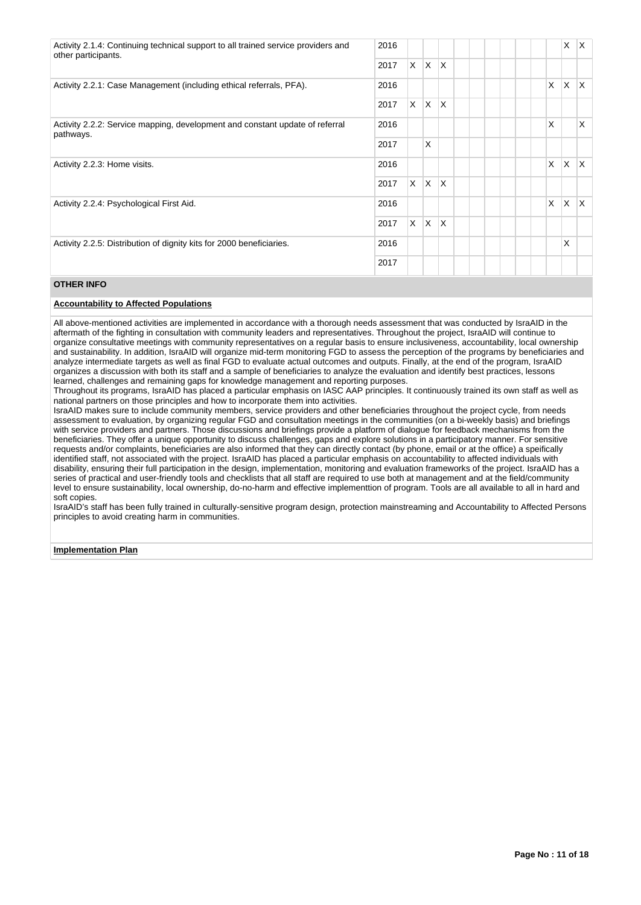| Activity 2.1.4: Continuing technical support to all trained service providers and<br>other participants. |  |          |              |              |  |              |        | X | X. |
|----------------------------------------------------------------------------------------------------------|--|----------|--------------|--------------|--|--------------|--------|---|----|
|                                                                                                          |  | $\times$ | $\mathsf{X}$ | ΙX.          |  |              |        |   |    |
| Activity 2.2.1: Case Management (including ethical referrals, PFA).                                      |  |          |              |              |  | $\times$     |        | X | X. |
|                                                                                                          |  | X        | $\mathsf{X}$ | <sup>X</sup> |  |              |        |   |    |
| Activity 2.2.2: Service mapping, development and constant update of referral<br>pathways.                |  |          |              |              |  | $\mathsf{x}$ |        |   | X. |
|                                                                                                          |  |          | <b>X</b>     |              |  |              |        |   |    |
| Activity 2.2.3: Home visits.                                                                             |  |          |              |              |  |              | X<br>X |   | X. |
|                                                                                                          |  |          | $x \mid x$   | $\mathsf{X}$ |  |              |        |   |    |
| Activity 2.2.4: Psychological First Aid.                                                                 |  |          |              |              |  |              | X<br>X |   | X. |
|                                                                                                          |  | $\times$ | $\mathsf{X}$ | ΙX.          |  |              |        |   |    |
| Activity 2.2.5: Distribution of dignity kits for 2000 beneficiaries.                                     |  |          |              |              |  |              | X      |   |    |
|                                                                                                          |  |          |              |              |  |              |        |   |    |

# **OTHER INFO**

# **Accountability to Affected Populations**

All above-mentioned activities are implemented in accordance with a thorough needs assessment that was conducted by IsraAID in the aftermath of the fighting in consultation with community leaders and representatives. Throughout the project, IsraAID will continue to organize consultative meetings with community representatives on a regular basis to ensure inclusiveness, accountability, local ownership and sustainability. In addition, IsraAID will organize mid-term monitoring FGD to assess the perception of the programs by beneficiaries and analyze intermediate targets as well as final FGD to evaluate actual outcomes and outputs. Finally, at the end of the program, IsraAID organizes a discussion with both its staff and a sample of beneficiaries to analyze the evaluation and identify best practices, lessons learned, challenges and remaining gaps for knowledge management and reporting purposes.

Throughout its programs, IsraAID has placed a particular emphasis on IASC AAP principles. It continuously trained its own staff as well as national partners on those principles and how to incorporate them into activities.

IsraAID makes sure to include community members, service providers and other beneficiaries throughout the project cycle, from needs assessment to evaluation, by organizing regular FGD and consultation meetings in the communities (on a bi-weekly basis) and briefings with service providers and partners. Those discussions and briefings provide a platform of dialogue for feedback mechanisms from the beneficiaries. They offer a unique opportunity to discuss challenges, gaps and explore solutions in a participatory manner. For sensitive requests and/or complaints, beneficiaries are also informed that they can directly contact (by phone, email or at the office) a speifically identified staff, not associated with the project. IsraAID has placed a particular emphasis on accountability to affected individuals with disability, ensuring their full participation in the design, implementation, monitoring and evaluation frameworks of the project. IsraAID has a series of practical and user-friendly tools and checklists that all staff are required to use both at management and at the field/community level to ensure sustainability, local ownership, do-no-harm and effective implementtion of program. Tools are all available to all in hard and soft copies.

IsraAID's staff has been fully trained in culturally-sensitive program design, protection mainstreaming and Accountability to Affected Persons principles to avoid creating harm in communities.

**Implementation Plan**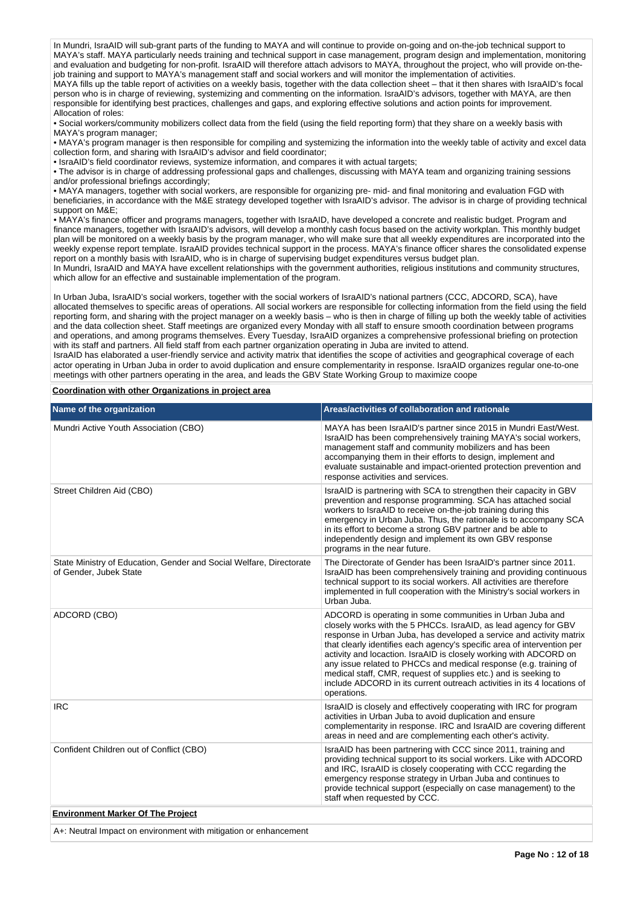In Mundri, IsraAID will sub-grant parts of the funding to MAYA and will continue to provide on-going and on-the-job technical support to MAYA's staff. MAYA particularly needs training and technical support in case management, program design and implementation, monitoring and evaluation and budgeting for non-profit. IsraAID will therefore attach advisors to MAYA, throughout the project, who will provide on-thejob training and support to MAYA's management staff and social workers and will monitor the implementation of activities. MAYA fills up the table report of activities on a weekly basis, together with the data collection sheet – that it then shares with IsraAID's focal person who is in charge of reviewing, systemizing and commenting on the information. IsraAID's advisors, together with MAYA, are then responsible for identifying best practices, challenges and gaps, and exploring effective solutions and action points for improvement.

Allocation of roles: • Social workers/community mobilizers collect data from the field (using the field reporting form) that they share on a weekly basis with MAYA's program manager;

• MAYA's program manager is then responsible for compiling and systemizing the information into the weekly table of activity and excel data collection form, and sharing with IsraAID's advisor and field coordinator;

• IsraAID's field coordinator reviews, systemize information, and compares it with actual targets;

• The advisor is in charge of addressing professional gaps and challenges, discussing with MAYA team and organizing training sessions and/or professional briefings accordingly;

• MAYA managers, together with social workers, are responsible for organizing pre- mid- and final monitoring and evaluation FGD with beneficiaries, in accordance with the M&E strategy developed together with IsraAID's advisor. The advisor is in charge of providing technical support on M&E;

• MAYA's finance officer and programs managers, together with IsraAID, have developed a concrete and realistic budget. Program and finance managers, together with IsraAID's advisors, will develop a monthly cash focus based on the activity workplan. This monthly budget plan will be monitored on a weekly basis by the program manager, who will make sure that all weekly expenditures are incorporated into the weekly expense report template. IsraAID provides technical support in the process. MAYA's finance officer shares the consolidated expense report on a monthly basis with IsraAID, who is in charge of supervising budget expenditures versus budget plan.

In Mundri, IsraAID and MAYA have excellent relationships with the government authorities, religious institutions and community structures, which allow for an effective and sustainable implementation of the program.

In Urban Juba, IsraAID's social workers, together with the social workers of IsraAID's national partners (CCC, ADCORD, SCA), have allocated themselves to specific areas of operations. All social workers are responsible for collecting information from the field using the field reporting form, and sharing with the project manager on a weekly basis – who is then in charge of filling up both the weekly table of activities and the data collection sheet. Staff meetings are organized every Monday with all staff to ensure smooth coordination between programs and operations, and among programs themselves. Every Tuesday, IsraAID organizes a comprehensive professional briefing on protection with its staff and partners. All field staff from each partner organization operating in Juba are invited to attend. IsraAID has elaborated a user-friendly service and activity matrix that identifies the scope of activities and geographical coverage of each actor operating in Urban Juba in order to avoid duplication and ensure complementarity in response. IsraAID organizes regular one-to-one

meetings with other partners operating in the area, and leads the GBV State Working Group to maximize coope

**Coordination with other Organizations in project area**

| Name of the organization                                                                      | Areas/activities of collaboration and rationale                                                                                                                                                                                                                                                                                                                                                                                                                                                                                                                                       |
|-----------------------------------------------------------------------------------------------|---------------------------------------------------------------------------------------------------------------------------------------------------------------------------------------------------------------------------------------------------------------------------------------------------------------------------------------------------------------------------------------------------------------------------------------------------------------------------------------------------------------------------------------------------------------------------------------|
| Mundri Active Youth Association (CBO)                                                         | MAYA has been IsraAID's partner since 2015 in Mundri East/West.<br>IsraAID has been comprehensively training MAYA's social workers,<br>management staff and community mobilizers and has been<br>accompanying them in their efforts to design, implement and<br>evaluate sustainable and impact-oriented protection prevention and<br>response activities and services.                                                                                                                                                                                                               |
| Street Children Aid (CBO)                                                                     | IsraAID is partnering with SCA to strengthen their capacity in GBV<br>prevention and response programming. SCA has attached social<br>workers to IsraAID to receive on-the-job training during this<br>emergency in Urban Juba. Thus, the rationale is to accompany SCA<br>in its effort to become a strong GBV partner and be able to<br>independently design and implement its own GBV response<br>programs in the near future.                                                                                                                                                     |
| State Ministry of Education, Gender and Social Welfare, Directorate<br>of Gender, Jubek State | The Directorate of Gender has been IsraAID's partner since 2011.<br>IsraAID has been comprehensively training and providing continuous<br>technical support to its social workers. All activities are therefore<br>implemented in full cooperation with the Ministry's social workers in<br>Urban Juba.                                                                                                                                                                                                                                                                               |
| ADCORD (CBO)                                                                                  | ADCORD is operating in some communities in Urban Juba and<br>closely works with the 5 PHCCs. IsraAID, as lead agency for GBV<br>response in Urban Juba, has developed a service and activity matrix<br>that clearly identifies each agency's specific area of intervention per<br>activity and locaction. IsraAID is closely working with ADCORD on<br>any issue related to PHCCs and medical response (e.g. training of<br>medical staff, CMR, request of supplies etc.) and is seeking to<br>include ADCORD in its current outreach activities in its 4 locations of<br>operations. |
| <b>IRC</b>                                                                                    | IsraAID is closely and effectively cooperating with IRC for program<br>activities in Urban Juba to avoid duplication and ensure<br>complementarity in response. IRC and IsraAID are covering different<br>areas in need and are complementing each other's activity.                                                                                                                                                                                                                                                                                                                  |
| Confident Children out of Conflict (CBO)                                                      | IsraAID has been partnering with CCC since 2011, training and<br>providing technical support to its social workers. Like with ADCORD<br>and IRC, IsraAID is closely cooperating with CCC regarding the<br>emergency response strategy in Urban Juba and continues to<br>provide technical support (especially on case management) to the<br>staff when requested by CCC.                                                                                                                                                                                                              |
| <b>Environment Marker Of The Project</b>                                                      |                                                                                                                                                                                                                                                                                                                                                                                                                                                                                                                                                                                       |
| A  Noutral lmnaat on anvironmant with mitiagtion or onbonagm                                  |                                                                                                                                                                                                                                                                                                                                                                                                                                                                                                                                                                                       |

A+: Neutral Impact on environment with mitigation or enhancement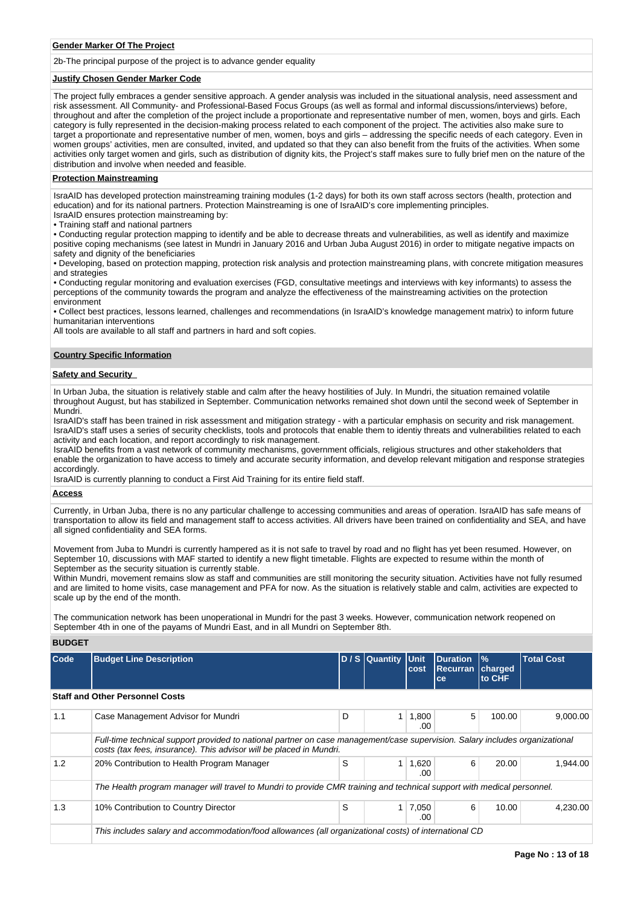#### **Gender Marker Of The Project**

2b-The principal purpose of the project is to advance gender equality

#### **Justify Chosen Gender Marker Code**

The project fully embraces a gender sensitive approach. A gender analysis was included in the situational analysis, need assessment and risk assessment. All Community- and Professional-Based Focus Groups (as well as formal and informal discussions/interviews) before, throughout and after the completion of the project include a proportionate and representative number of men, women, boys and girls. Each category is fully represented in the decision-making process related to each component of the project. The activities also make sure to target a proportionate and representative number of men, women, boys and girls – addressing the specific needs of each category. Even in women groups' activities, men are consulted, invited, and updated so that they can also benefit from the fruits of the activities. When some activities only target women and girls, such as distribution of dignity kits, the Project's staff makes sure to fully brief men on the nature of the distribution and involve when needed and feasible.

## **Protection Mainstreaming**

IsraAID has developed protection mainstreaming training modules (1-2 days) for both its own staff across sectors (health, protection and education) and for its national partners. Protection Mainstreaming is one of IsraAID's core implementing principles. IsraAID ensures protection mainstreaming by:

• Training staff and national partners

• Conducting regular protection mapping to identify and be able to decrease threats and vulnerabilities, as well as identify and maximize positive coping mechanisms (see latest in Mundri in January 2016 and Urban Juba August 2016) in order to mitigate negative impacts on safety and dignity of the beneficiaries

• Developing, based on protection mapping, protection risk analysis and protection mainstreaming plans, with concrete mitigation measures and strategies

• Conducting regular monitoring and evaluation exercises (FGD, consultative meetings and interviews with key informants) to assess the perceptions of the community towards the program and analyze the effectiveness of the mainstreaming activities on the protection environment

• Collect best practices, lessons learned, challenges and recommendations (in IsraAID's knowledge management matrix) to inform future humanitarian interventions

All tools are available to all staff and partners in hard and soft copies.

#### **Country Specific Information**

# **Safety and Security**

In Urban Juba, the situation is relatively stable and calm after the heavy hostilities of July. In Mundri, the situation remained volatile throughout August, but has stabilized in September. Communication networks remained shot down until the second week of September in Mundri.

IsraAID's staff has been trained in risk assessment and mitigation strategy - with a particular emphasis on security and risk management. IsraAID's staff uses a series of security checklists, tools and protocols that enable them to identiy threats and vulnerabilities related to each activity and each location, and report accordingly to risk management.

IsraAID benefits from a vast network of community mechanisms, government officials, religious structures and other stakeholders that enable the organization to have access to timely and accurate security information, and develop relevant mitigation and response strategies accordingly.

IsraAID is currently planning to conduct a First Aid Training for its entire field staff.

# **Access**

Currently, in Urban Juba, there is no any particular challenge to accessing communities and areas of operation. IsraAID has safe means of transportation to allow its field and management staff to access activities. All drivers have been trained on confidentiality and SEA, and have all signed confidentiality and SEA forms.

Movement from Juba to Mundri is currently hampered as it is not safe to travel by road and no flight has yet been resumed. However, on September 10, discussions with MAF started to identify a new flight timetable. Flights are expected to resume within the month of September as the security situation is currently stable.

Within Mundri, movement remains slow as staff and communities are still monitoring the security situation. Activities have not fully resumed and are limited to home visits, case management and PFA for now. As the situation is relatively stable and calm, activities are expected to scale up by the end of the month.

The communication network has been unoperational in Mundri for the past 3 weeks. However, communication network reopened on September 4th in one of the payams of Mundri East, and in all Mundri on September 8th.

#### **BUDGET**

| Code | <b>Budget Line Description</b>                                                                                                                                                                      |   | D / S Quantity | <b>Unit</b><br>cost | <b>Duration</b><br><b>Recurran</b><br><b>ce</b> | $\frac{9}{6}$<br>charged<br>to CHF | <b>Total Cost</b> |
|------|-----------------------------------------------------------------------------------------------------------------------------------------------------------------------------------------------------|---|----------------|---------------------|-------------------------------------------------|------------------------------------|-------------------|
|      | <b>Staff and Other Personnel Costs</b>                                                                                                                                                              |   |                |                     |                                                 |                                    |                   |
| 1.1  | Case Management Advisor for Mundri                                                                                                                                                                  | D |                | 1,800<br>.00        | 5                                               | 100.00                             | 9,000.00          |
|      | Full-time technical support provided to national partner on case management/case supervision. Salary includes organizational<br>costs (tax fees, insurance). This advisor will be placed in Mundri. |   |                |                     |                                                 |                                    |                   |
| 1.2  | 20% Contribution to Health Program Manager                                                                                                                                                          | S |                | 1,620<br>.00        | 6                                               | 20.00                              | 1.944.00          |
|      | The Health program manager will travel to Mundri to provide CMR training and technical support with medical personnel.                                                                              |   |                |                     |                                                 |                                    |                   |
| 1.3  | 10% Contribution to Country Director                                                                                                                                                                | S |                | 7,050<br>.00        | 6                                               | 10.00                              | 4,230.00          |
|      | This includes salary and accommodation/food allowances (all organizational costs) of international CD                                                                                               |   |                |                     |                                                 |                                    |                   |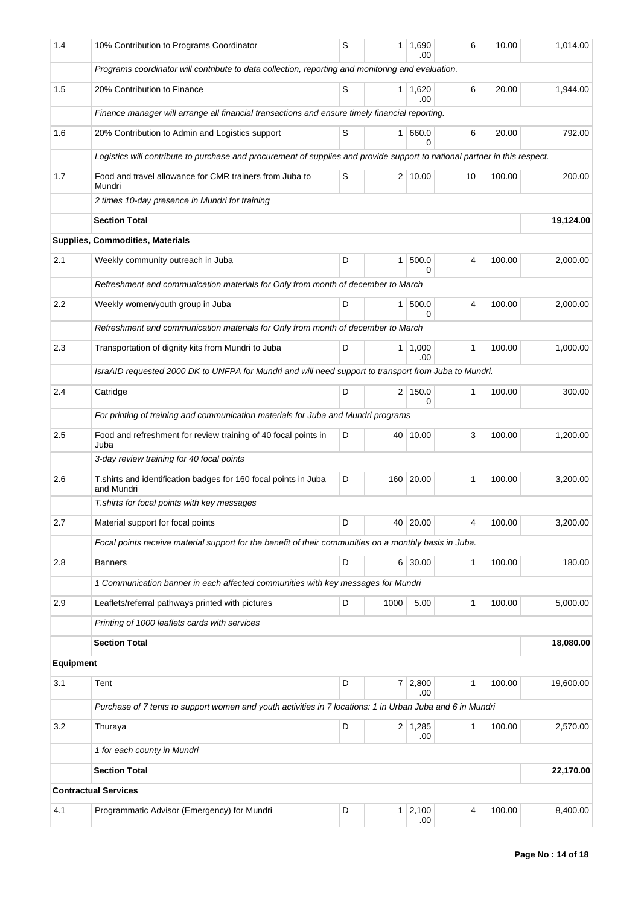| 1.4       | 10% Contribution to Programs Coordinator                                                                                   | S      |                | $1 \mid 1,690$<br>.00 | 6 | 10.00  | 1,014.00  |
|-----------|----------------------------------------------------------------------------------------------------------------------------|--------|----------------|-----------------------|---|--------|-----------|
|           | Programs coordinator will contribute to data collection, reporting and monitoring and evaluation.                          |        |                |                       |   |        |           |
| 1.5       | 20% Contribution to Finance                                                                                                | S      |                | $1 \mid 1,620$<br>.00 | 6 | 20.00  | 1,944.00  |
|           | Finance manager will arrange all financial transactions and ensure timely financial reporting.                             |        |                |                       |   |        |           |
| 1.6       | 20% Contribution to Admin and Logistics support                                                                            | 20.00  | 792.00         |                       |   |        |           |
|           | Logistics will contribute to purchase and procurement of supplies and provide support to national partner in this respect. |        |                |                       |   |        |           |
| 1.7       | Food and travel allowance for CMR trainers from Juba to<br>Mundri                                                          | 100.00 | 200.00         |                       |   |        |           |
|           | 2 times 10-day presence in Mundri for training                                                                             |        |                |                       |   |        |           |
|           | <b>Section Total</b>                                                                                                       |        |                |                       |   |        | 19,124.00 |
|           | Supplies, Commodities, Materials                                                                                           |        |                |                       |   |        |           |
| 2.1       | Weekly community outreach in Juba                                                                                          | D      |                | 1   500.0<br>0        | 4 | 100.00 | 2,000.00  |
|           | Refreshment and communication materials for Only from month of december to March                                           |        |                |                       |   |        |           |
| $2.2\,$   | Weekly women/youth group in Juba                                                                                           | D      |                | 1   500.0<br>0        | 4 | 100.00 | 2.000.00  |
|           | Refreshment and communication materials for Only from month of december to March                                           |        |                |                       |   |        |           |
| 2.3       | Transportation of dignity kits from Mundri to Juba                                                                         | D      | 1 <sup>1</sup> | 1,000<br>.00          | 1 | 100.00 | 1,000.00  |
|           | IsraAID requested 2000 DK to UNFPA for Mundri and will need support to transport from Juba to Mundri.                      |        |                |                       |   |        |           |
| 2.4       | Catridge                                                                                                                   | D      |                | $2 \mid 150.0$<br>0   | 1 | 100.00 | 300.00    |
|           | For printing of training and communication materials for Juba and Mundri programs                                          |        |                |                       |   |        |           |
| 2.5       | Food and refreshment for review training of 40 focal points in<br>Juba                                                     | D      |                | 40 10.00              | 3 | 100.00 | 1,200.00  |
|           | 3-day review training for 40 focal points                                                                                  |        |                |                       |   |        |           |
| 2.6       | T.shirts and identification badges for 160 focal points in Juba<br>and Mundri                                              | D      |                | 160 20.00             | 1 | 100.00 | 3,200.00  |
|           | T. shirts for focal points with key messages                                                                               |        |                |                       |   |        |           |
| 2.7       | Material support for focal points                                                                                          | D      |                | 40 20.00              | 4 | 100.00 | 3,200.00  |
|           | Focal points receive material support for the benefit of their communities on a monthly basis in Juba.                     |        |                |                       |   |        |           |
| 2.8       | <b>Banners</b>                                                                                                             | D      |                | 6 30.00               | 1 | 100.00 | 180.00    |
|           | 1 Communication banner in each affected communities with key messages for Mundri                                           |        |                |                       |   |        |           |
| 2.9       | Leaflets/referral pathways printed with pictures                                                                           | D      | 1000           | 5.00                  | 1 | 100.00 | 5,000.00  |
|           | Printing of 1000 leaflets cards with services                                                                              |        |                |                       |   |        |           |
|           | <b>Section Total</b>                                                                                                       |        |                |                       |   |        | 18,080.00 |
| Equipment |                                                                                                                            |        |                |                       |   |        |           |
| 3.1       | Tent                                                                                                                       | D      |                | $7 \mid 2,800$<br>.00 | 1 | 100.00 | 19,600.00 |
|           | Purchase of 7 tents to support women and youth activities in 7 locations: 1 in Urban Juba and 6 in Mundri                  |        |                |                       |   |        |           |
| 3.2       | Thuraya                                                                                                                    | D      |                | $2 \mid 1,285$<br>.00 | 1 | 100.00 | 2,570.00  |
|           | 1 for each county in Mundri                                                                                                |        |                |                       |   |        |           |
|           | <b>Section Total</b>                                                                                                       |        |                |                       |   |        | 22,170.00 |
|           | <b>Contractual Services</b>                                                                                                |        |                |                       |   |        |           |
| 4.1       | Programmatic Advisor (Emergency) for Mundri                                                                                | D      |                | $1 \mid 2,100$<br>.00 | 4 | 100.00 | 8,400.00  |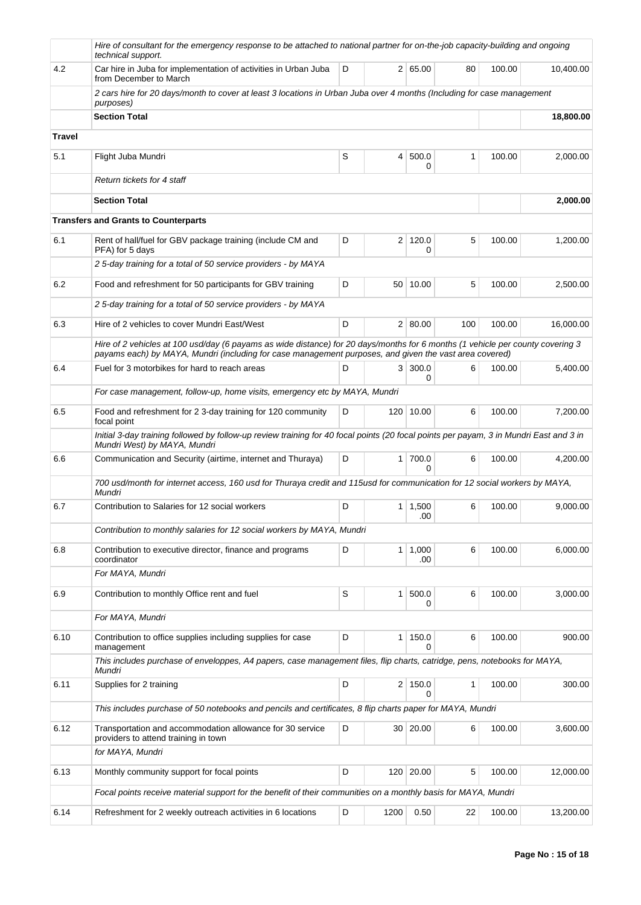|               | Hire of consultant for the emergency response to be attached to national partner for on-the-job capacity-building and ongoing<br>technical support.                                                                                      |   |                |                            |     |        |           |
|---------------|------------------------------------------------------------------------------------------------------------------------------------------------------------------------------------------------------------------------------------------|---|----------------|----------------------------|-----|--------|-----------|
| 4.2           | Car hire in Juba for implementation of activities in Urban Juba<br>from December to March                                                                                                                                                | D |                | 2   65.00                  | 80  | 100.00 | 10.400.00 |
|               | 2 cars hire for 20 days/month to cover at least 3 locations in Urban Juba over 4 months (Including for case management<br>purposes)                                                                                                      |   |                |                            |     |        |           |
|               | <b>Section Total</b>                                                                                                                                                                                                                     |   |                |                            |     |        | 18,800.00 |
| <b>Travel</b> |                                                                                                                                                                                                                                          |   |                |                            |     |        |           |
| 5.1           | Flight Juba Mundri                                                                                                                                                                                                                       | S | $\overline{4}$ | 500.0<br>0                 | 1   | 100.00 | 2,000.00  |
|               | Return tickets for 4 staff                                                                                                                                                                                                               |   |                |                            |     |        |           |
|               | <b>Section Total</b>                                                                                                                                                                                                                     |   |                |                            |     |        | 2,000.00  |
|               | <b>Transfers and Grants to Counterparts</b>                                                                                                                                                                                              |   |                |                            |     |        |           |
| 6.1           | Rent of hall/fuel for GBV package training (include CM and<br>PFA) for 5 days                                                                                                                                                            | D |                | 2 120.0<br>0               | 5   | 100.00 | 1,200.00  |
|               | 2 5-day training for a total of 50 service providers - by MAYA                                                                                                                                                                           |   |                |                            |     |        |           |
| 6.2           | Food and refreshment for 50 participants for GBV training                                                                                                                                                                                | D |                | 50 10.00                   | 5   | 100.00 | 2,500.00  |
|               | 2 5-day training for a total of 50 service providers - by MAYA                                                                                                                                                                           |   |                |                            |     |        |           |
| 6.3           | Hire of 2 vehicles to cover Mundri East/West                                                                                                                                                                                             | D |                | 2   80.00                  | 100 | 100.00 | 16,000.00 |
|               | Hire of 2 vehicles at 100 usd/day (6 payams as wide distance) for 20 days/months for 6 months (1 vehicle per county covering 3<br>payams each) by MAYA, Mundri (including for case management purposes, and given the vast area covered) |   |                |                            |     |        |           |
| 6.4           | Fuel for 3 motorbikes for hard to reach areas                                                                                                                                                                                            | D | 3              | 300.0<br>0                 | 6   | 100.00 | 5,400.00  |
|               | For case management, follow-up, home visits, emergency etc by MAYA, Mundri                                                                                                                                                               |   |                |                            |     |        |           |
| 6.5           | Food and refreshment for 2 3-day training for 120 community<br>focal point                                                                                                                                                               | D |                | 120 10.00                  | 6   | 100.00 | 7,200.00  |
|               | Initial 3-day training followed by follow-up review training for 40 focal points (20 focal points per payam, 3 in Mundri East and 3 in<br>Mundri West) by MAYA, Mundri                                                                   |   |                |                            |     |        |           |
| 6.6           | Communication and Security (airtime, internet and Thuraya)                                                                                                                                                                               | D |                | $1 \mid 700.0$<br>$\Omega$ | 6   | 100.00 | 4,200.00  |
|               | 700 usd/month for internet access, 160 usd for Thuraya credit and 115usd for communication for 12 social workers by MAYA,<br>Mundri                                                                                                      |   |                |                            |     |        |           |
| 6.7           | Contribution to Salaries for 12 social workers                                                                                                                                                                                           | D |                | $1 \mid 1,500$<br>.00      | 6   | 100.00 | 9.000.00  |
|               | Contribution to monthly salaries for 12 social workers by MAYA, Mundri                                                                                                                                                                   |   |                |                            |     |        |           |
| 6.8           | Contribution to executive director, finance and programs<br>coordinator                                                                                                                                                                  | D |                | $1 \mid 1,000$<br>.00      | 6   | 100.00 | 6,000.00  |
|               | For MAYA, Mundri                                                                                                                                                                                                                         |   |                |                            |     |        |           |
| 6.9           | Contribution to monthly Office rent and fuel                                                                                                                                                                                             | S | 1              | 500.0<br>0                 | 6   | 100.00 | 3,000.00  |
|               | For MAYA, Mundri                                                                                                                                                                                                                         |   |                |                            |     |        |           |
| 6.10          | Contribution to office supplies including supplies for case<br>management                                                                                                                                                                | D | 1 <sup>1</sup> | 150.0<br>0                 | 6   | 100.00 | 900.00    |
|               | This includes purchase of enveloppes, A4 papers, case management files, flip charts, catridge, pens, notebooks for MAYA,<br>Mundri                                                                                                       |   |                |                            |     |        |           |
| 6.11          | Supplies for 2 training                                                                                                                                                                                                                  | D |                | 2 150.0<br>$\Omega$        | 1   | 100.00 | 300.00    |
|               | This includes purchase of 50 notebooks and pencils and certificates, 8 flip charts paper for MAYA, Mundri                                                                                                                                |   |                |                            |     |        |           |
| 6.12          | Transportation and accommodation allowance for 30 service<br>providers to attend training in town                                                                                                                                        | D |                | 30 20.00                   | 6   | 100.00 | 3,600.00  |
|               | for MAYA, Mundri                                                                                                                                                                                                                         |   |                |                            |     |        |           |
| 6.13          | Monthly community support for focal points                                                                                                                                                                                               | D |                | 120 20.00                  | 5   | 100.00 | 12,000.00 |
|               | Focal points receive material support for the benefit of their communities on a monthly basis for MAYA, Mundri                                                                                                                           |   |                |                            |     |        |           |
| 6.14          | Refreshment for 2 weekly outreach activities in 6 locations                                                                                                                                                                              | D | 1200           | 0.50                       | 22  | 100.00 | 13,200.00 |